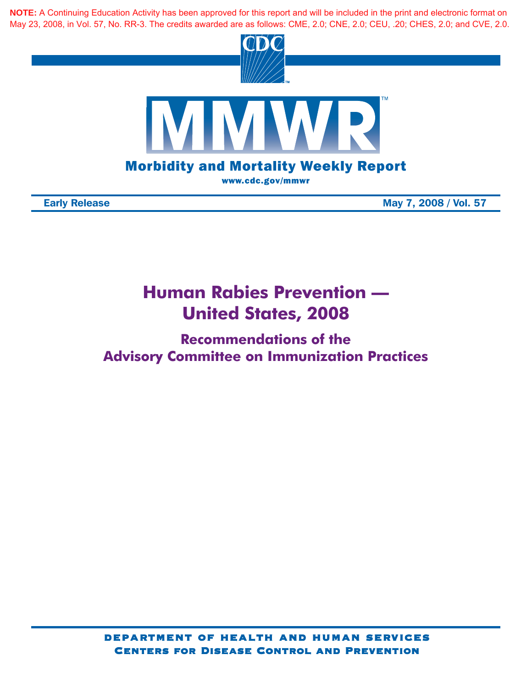**NOTE:** A Continuing Education Activity has been approved for this report and will be included in the print and electronic format on May 23, 2008, in Vol. 57, No. RR-3. The credits awarded are as follows: CME, 2.0; CNE, 2.0; CEU, .20; CHES, 2.0; and CVE, 2.0.



| <b>Early Release</b> |  |
|----------------------|--|
|                      |  |

May 7, 2008 / Vol. 57

# **Human Rabies Prevention — United States, 2008**

# **Recommendations of the Advisory Committee on Immunization Practices**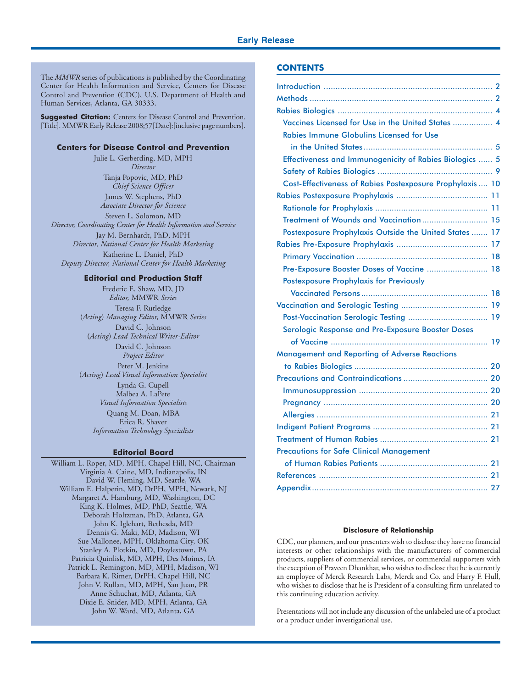The *MMWR* series of publications is published by the Coordinating Center for Health Information and Service, Centers for Disease Control and Prevention (CDC), U.S. Department of Health and Human Services, Atlanta, GA 30333.

**Suggested Citation:** Centers for Disease Control and Prevention. [Title]. MMWR Early Release 2008;57[Date]: [inclusive page numbers].

#### **Centers for Disease Control and Prevention**

Julie L. Gerberding, MD, MPH *Director*

Tanja Popovic, MD, PhD *Chief Science Officer*

James W. Stephens, PhD *Associate Director for Science* Steven L. Solomon, MD

*Director, Coordinating Center for Health Information and Service* Jay M. Bernhardt, PhD, MPH

*Director, National Center for Health Marketing* Katherine L. Daniel, PhD *Deputy Director, National Center for Health Marketing*

#### **Editorial and Production Staff**

Frederic E. Shaw, MD, JD *Editor,* MMWR *Series* Teresa F. Rutledge (*Acting*) *Managing Editor,* MMWR *Series* David C. Johnson (*Acting*) *Lead Technical Writer-Editor* David C. Johnson *Project Editor* Peter M. Jenkins (*Acting*) *Lead Visual Information Specialist* Lynda G. Cupell Malbea A. LaPete *Visual Information Specialists* Quang M. Doan, MBA Erica R. Shaver *Information Technology Specialists*

#### **Editorial Board**

William L. Roper, MD, MPH, Chapel Hill, NC, Chairman Virginia A. Caine, MD, Indianapolis, IN David W. Fleming, MD, Seattle, WA William E. Halperin, MD, DrPH, MPH, Newark, NJ Margaret A. Hamburg, MD, Washington, DC King K. Holmes, MD, PhD, Seattle, WA Deborah Holtzman, PhD, Atlanta, GA John K. Iglehart, Bethesda, MD Dennis G. Maki, MD, Madison, WI Sue Mallonee, MPH, Oklahoma City, OK Stanley A. Plotkin, MD, Doylestown, PA Patricia Quinlisk, MD, MPH, Des Moines, IA Patrick L. Remington, MD, MPH, Madison, WI Barbara K. Rimer, DrPH, Chapel Hill, NC John V. Rullan, MD, MPH, San Juan, PR Anne Schuchat, MD, Atlanta, GA Dixie E. Snider, MD, MPH, Atlanta, GA John W. Ward, MD, Atlanta, GA

#### **CONTENTS**

| Vaccines Licensed for Use in the United States  4         |  |
|-----------------------------------------------------------|--|
| <b>Rabies Immune Globulins Licensed for Use</b>           |  |
|                                                           |  |
| Effectiveness and Immunogenicity of Rabies Biologics  5   |  |
|                                                           |  |
| Cost-Effectiveness of Rabies Postexposure Prophylaxis  10 |  |
|                                                           |  |
|                                                           |  |
| Treatment of Wounds and Vaccination 15                    |  |
| Postexposure Prophylaxis Outside the United States  17    |  |
|                                                           |  |
|                                                           |  |
| Pre-Exposure Booster Doses of Vaccine  18                 |  |
| Postexposure Prophylaxis for Previously                   |  |
|                                                           |  |
|                                                           |  |
|                                                           |  |
| Serologic Response and Pre-Exposure Booster Doses         |  |
|                                                           |  |
| Management and Reporting of Adverse Reactions             |  |
|                                                           |  |
|                                                           |  |
|                                                           |  |
|                                                           |  |
|                                                           |  |
|                                                           |  |
|                                                           |  |
| <b>Precautions for Safe Clinical Management</b>           |  |
|                                                           |  |
|                                                           |  |
|                                                           |  |
|                                                           |  |

#### **Disclosure of Relationship**

CDC, our planners, and our presenters wish to disclose they have no financial interests or other relationships with the manufacturers of commercial products, suppliers of commercial services, or commercial supporters with the exception of Praveen Dhankhar, who wishes to disclose that he is currently an employee of Merck Research Labs, Merck and Co. and Harry F. Hull, who wishes to disclose that he is President of a consulting firm unrelated to this continuing education activity.

Presentations will not include any discussion of the unlabeled use of a product or a product under investigational use.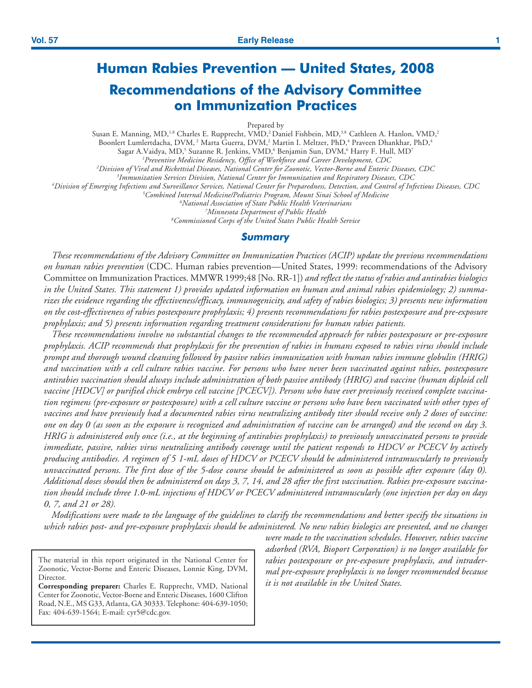# **Human Rabies Prevention — United States, 2008 Recommendations of the Advisory Committee on Immunization Practices**

Prepared by

Susan E. Manning, MD,<sup>1,8</sup> Charles E. Rupprecht, VMD,<sup>2</sup> Daniel Fishbein, MD,<sup>3,8</sup> Cathleen A. Hanlon, VMD,<sup>2</sup>

Boonlert Lumlertdacha, DVM, <sup>2</sup> Marta Guerra, DVM, <sup>2</sup> Martin I. Meltzer, PhD, <sup>4</sup> Praveen Dhankhar, PhD, <sup>4</sup>

Sagar A.Vaidya, MD,<sup>5</sup> Suzanne R. Jenkins, VMD,<sup>6</sup> Benjamin Sun, DVM,<sup>6</sup> Harry F. Hull, MD<sup>7</sup>

*1 Preventive Medicine Residency, Office of Workforce and Career Development, CDC*

*2 Division of Viral and Rickettsial Diseases, National Center for Zoonotic, Vector-Borne and Enteric Diseases, CDC*

*3 Immunization Services Division, National Center for Immunization and Respiratory Diseases, CDC*

*4 Division of Emerging Infections and Surveillance Services, National Center for Preparedness, Detection, and Control of Infectious Diseases, CDC*

*5 Combined Internal Medicine/Pediatrics Program, Mount Sinai School of Medicine*

*6 National Association of State Public Health Veterinarians*

*7 Minnesota Department of Public Health*

*8 Commissioned Corps of the United States Public Health Service*

#### *Summary*

*These recommendations of the Advisory Committee on Immunization Practices (ACIP) update the previous recommendations on human rabies prevention* (CDC. Human rabies prevention—United States, 1999: recommendations of the Advisory Committee on Immunization Practices. MMWR 1999;48 [No. RR-1]) *and reflect the status of rabies and antirabies biologics in the United States. This statement 1) provides updated information on human and animal rabies epidemiology; 2) summarizes the evidence regarding the effectiveness/efficacy, immunogenicity, and safety of rabies biologics; 3) presents new information on the cost-effectiveness of rabies postexposure prophylaxis; 4) presents recommendations for rabies postexposure and pre-exposure prophylaxis; and 5) presents information regarding treatment considerations for human rabies patients.*

*These recommendations involve no substantial changes to the recommended approach for rabies postexposure or pre-exposure prophylaxis. ACIP recommends that prophylaxis for the prevention of rabies in humans exposed to rabies virus should include prompt and thorough wound cleansing followed by passive rabies immunization with human rabies immune globulin (HRIG) and vaccination with a cell culture rabies vaccine. For persons who have never been vaccinated against rabies, postexposure antirabies vaccination should always include administration of both passive antibody (HRIG) and vaccine (human diploid cell vaccine [HDCV] or purified chick embryo cell vaccine [PCECV]). Persons who have ever previously received complete vaccination regimens (pre-exposure or postexposure) with a cell culture vaccine or persons who have been vaccinated with other types of vaccines and have previously had a documented rabies virus neutralizing antibody titer should receive only 2 doses of vaccine: one on day 0 (as soon as the exposure is recognized and administration of vaccine can be arranged) and the second on day 3. HRIG is administered only once (i.e., at the beginning of antirabies prophylaxis) to previously unvaccinated persons to provide immediate, passive, rabies virus neutralizing antibody coverage until the patient responds to HDCV or PCECV by actively producing antibodies. A regimen of 5 1-mL doses of HDCV or PCECV should be administered intramuscularly to previously unvaccinated persons. The first dose of the 5-dose course should be administered as soon as possible after exposure (day 0). Additional doses should then be administered on days 3, 7, 14, and 28 after the first vaccination. Rabies pre-exposure vaccination should include three 1.0-mL injections of HDCV or PCECV administered intramuscularly (one injection per day on days 0, 7, and 21 or 28).*

*Modifications were made to the language of the guidelines to clarify the recommendations and better specify the situations in which rabies post- and pre-exposure prophylaxis should be administered. No new rabies biologics are presented, and no changes*

*were made to the vaccination schedules. However, rabies vaccine adsorbed (RVA, Bioport Corporation) is no longer available for rabies postexposure or pre-exposure prophylaxis, and intradermal pre-exposure prophylaxis is no longer recommended because it is not available in the United States.*

The material in this report originated in the National Center for Zoonotic, Vector-Borne and Enteric Diseases, Lonnie King, DVM, Director.

**Corresponding preparer:** Charles E. Rupprecht, VMD, National Center for Zoonotic, Vector-Borne and Enteric Diseases, 1600 Clifton Road, N.E., MS G33, Atlanta, GA 30333. Telephone: 404-639-1050; Fax: 404-639-1564; E-mail: cyr5@cdc.gov.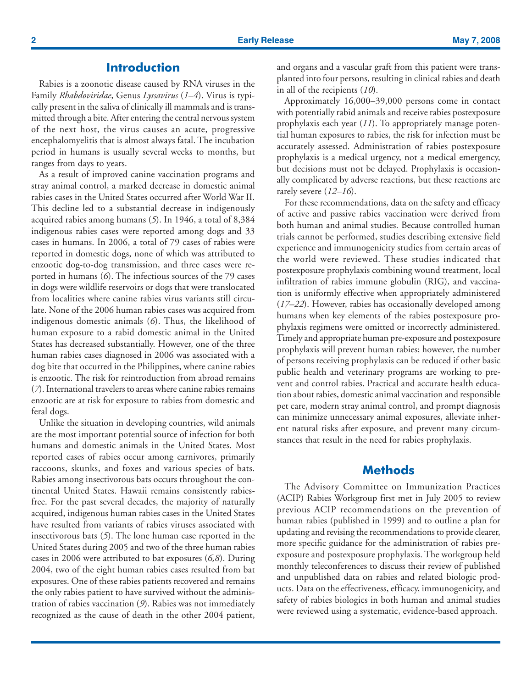## **Introduction**

<span id="page-3-0"></span>Rabies is a zoonotic disease caused by RNA viruses in the Family *Rhabdoviridae*, Genus *Lyssavirus* (*1–4*). Virus is typically present in the saliva of clinically ill mammals and is transmitted through a bite. After entering the central nervous system of the next host, the virus causes an acute, progressive encephalomyelitis that is almost always fatal. The incubation period in humans is usually several weeks to months, but ranges from days to years.

As a result of improved canine vaccination programs and stray animal control, a marked decrease in domestic animal rabies cases in the United States occurred after World War II. This decline led to a substantial decrease in indigenously acquired rabies among humans (*5*). In 1946, a total of 8,384 indigenous rabies cases were reported among dogs and 33 cases in humans. In 2006, a total of 79 cases of rabies were reported in domestic dogs, none of which was attributed to enzootic dog-to-dog transmission, and three cases were reported in humans (*6*). The infectious sources of the 79 cases in dogs were wildlife reservoirs or dogs that were translocated from localities where canine rabies virus variants still circulate. None of the 2006 human rabies cases was acquired from indigenous domestic animals (*6*). Thus, the likelihood of human exposure to a rabid domestic animal in the United States has decreased substantially. However, one of the three human rabies cases diagnosed in 2006 was associated with a dog bite that occurred in the Philippines, where canine rabies is enzootic. The risk for reintroduction from abroad remains (*7*). International travelers to areas where canine rabies remains enzootic are at risk for exposure to rabies from domestic and feral dogs.

Unlike the situation in developing countries, wild animals are the most important potential source of infection for both humans and domestic animals in the United States. Most reported cases of rabies occur among carnivores, primarily raccoons, skunks, and foxes and various species of bats. Rabies among insectivorous bats occurs throughout the continental United States. Hawaii remains consistently rabiesfree. For the past several decades, the majority of naturally acquired, indigenous human rabies cases in the United States have resulted from variants of rabies viruses associated with insectivorous bats (*5*). The lone human case reported in the United States during 2005 and two of the three human rabies cases in 2006 were attributed to bat exposures (*6,8*). During 2004, two of the eight human rabies cases resulted from bat exposures. One of these rabies patients recovered and remains the only rabies patient to have survived without the administration of rabies vaccination (*9*). Rabies was not immediately recognized as the cause of death in the other 2004 patient,

and organs and a vascular graft from this patient were transplanted into four persons, resulting in clinical rabies and death in all of the recipients (*10*).

Approximately 16,000–39,000 persons come in contact with potentially rabid animals and receive rabies postexposure prophylaxis each year (*11*). To appropriately manage potential human exposures to rabies, the risk for infection must be accurately assessed. Administration of rabies postexposure prophylaxis is a medical urgency, not a medical emergency, but decisions must not be delayed. Prophylaxis is occasionally complicated by adverse reactions, but these reactions are rarely severe (*12–16*).

For these recommendations, data on the safety and efficacy of active and passive rabies vaccination were derived from both human and animal studies. Because controlled human trials cannot be performed, studies describing extensive field experience and immunogenicity studies from certain areas of the world were reviewed. These studies indicated that postexposure prophylaxis combining wound treatment, local infiltration of rabies immune globulin (RIG), and vaccination is uniformly effective when appropriately administered (*17–22*). However, rabies has occasionally developed among humans when key elements of the rabies postexposure prophylaxis regimens were omitted or incorrectly administered. Timely and appropriate human pre-exposure and postexposure prophylaxis will prevent human rabies; however, the number of persons receiving prophylaxis can be reduced if other basic public health and veterinary programs are working to prevent and control rabies. Practical and accurate health education about rabies, domestic animal vaccination and responsible pet care, modern stray animal control, and prompt diagnosis can minimize unnecessary animal exposures, alleviate inherent natural risks after exposure, and prevent many circumstances that result in the need for rabies prophylaxis.

### **Methods**

The Advisory Committee on Immunization Practices (ACIP) Rabies Workgroup first met in July 2005 to review previous ACIP recommendations on the prevention of human rabies (published in 1999) and to outline a plan for updating and revising the recommendations to provide clearer, more specific guidance for the administration of rabies preexposure and postexposure prophylaxis. The workgroup held monthly teleconferences to discuss their review of published and unpublished data on rabies and related biologic products. Data on the effectiveness, efficacy, immunogenicity, and safety of rabies biologics in both human and animal studies were reviewed using a systematic, evidence-based approach.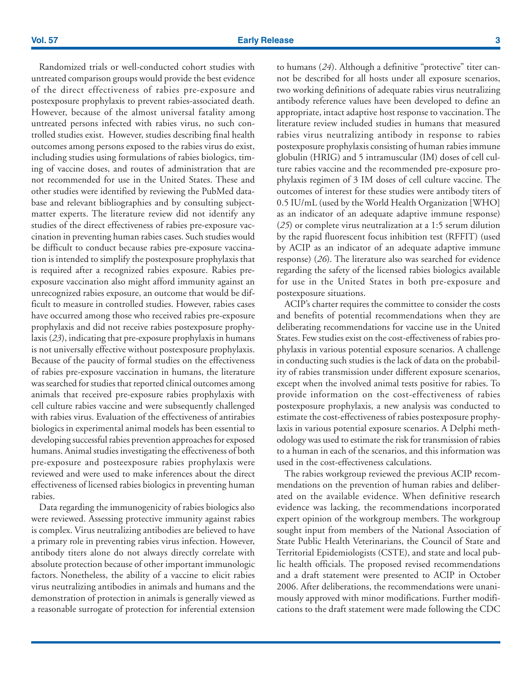Randomized trials or well-conducted cohort studies with untreated comparison groups would provide the best evidence of the direct effectiveness of rabies pre-exposure and postexposure prophylaxis to prevent rabies-associated death. However, because of the almost universal fatality among untreated persons infected with rabies virus, no such controlled studies exist. However, studies describing final health outcomes among persons exposed to the rabies virus do exist, including studies using formulations of rabies biologics, timing of vaccine doses, and routes of administration that are not recommended for use in the United States. These and other studies were identified by reviewing the PubMed database and relevant bibliographies and by consulting subjectmatter experts. The literature review did not identify any studies of the direct effectiveness of rabies pre-exposure vaccination in preventing human rabies cases. Such studies would be difficult to conduct because rabies pre-exposure vaccination is intended to simplify the postexposure prophylaxis that is required after a recognized rabies exposure. Rabies preexposure vaccination also might afford immunity against an unrecognized rabies exposure, an outcome that would be difficult to measure in controlled studies. However, rabies cases have occurred among those who received rabies pre-exposure prophylaxis and did not receive rabies postexposure prophylaxis (*23*), indicating that pre-exposure prophylaxis in humans is not universally effective without postexposure prophylaxis. Because of the paucity of formal studies on the effectiveness of rabies pre-exposure vaccination in humans, the literature was searched for studies that reported clinical outcomes among animals that received pre-exposure rabies prophylaxis with cell culture rabies vaccine and were subsequently challenged with rabies virus. Evaluation of the effectiveness of antirabies biologics in experimental animal models has been essential to developing successful rabies prevention approaches for exposed humans. Animal studies investigating the effectiveness of both pre-exposure and posteexposure rabies prophylaxis were reviewed and were used to make inferences about the direct effectiveness of licensed rabies biologics in preventing human rabies.

Data regarding the immunogenicity of rabies biologics also were reviewed. Assessing protective immunity against rabies is complex. Virus neutralizing antibodies are believed to have a primary role in preventing rabies virus infection. However, antibody titers alone do not always directly correlate with absolute protection because of other important immunologic factors. Nonetheless, the ability of a vaccine to elicit rabies virus neutralizing antibodies in animals and humans and the demonstration of protection in animals is generally viewed as a reasonable surrogate of protection for inferential extension to humans (*24*). Although a definitive "protective" titer cannot be described for all hosts under all exposure scenarios, two working definitions of adequate rabies virus neutralizing antibody reference values have been developed to define an appropriate, intact adaptive host response to vaccination. The literature review included studies in humans that measured rabies virus neutralizing antibody in response to rabies postexposure prophylaxis consisting of human rabies immune globulin (HRIG) and 5 intramuscular (IM) doses of cell culture rabies vaccine and the recommended pre-exposure prophylaxis regimen of 3 IM doses of cell culture vaccine. The outcomes of interest for these studies were antibody titers of 0.5 IU/mL (used by the World Health Organization [WHO] as an indicator of an adequate adaptive immune response) (*25*) or complete virus neutralization at a 1:5 serum dilution by the rapid fluorescent focus inhibition test (RFFIT) (used by ACIP as an indicator of an adequate adaptive immune response) (*26*). The literature also was searched for evidence regarding the safety of the licensed rabies biologics available for use in the United States in both pre-exposure and postexposure situations.

ACIP's charter requires the committee to consider the costs and benefits of potential recommendations when they are deliberating recommendations for vaccine use in the United States. Few studies exist on the cost-effectiveness of rabies prophylaxis in various potential exposure scenarios. A challenge in conducting such studies is the lack of data on the probability of rabies transmission under different exposure scenarios, except when the involved animal tests positive for rabies. To provide information on the cost-effectiveness of rabies postexposure prophylaxis, a new analysis was conducted to estimate the cost-effectiveness of rabies postexposure prophylaxis in various potential exposure scenarios. A Delphi methodology was used to estimate the risk for transmission of rabies to a human in each of the scenarios, and this information was used in the cost-effectiveness calculations.

The rabies workgroup reviewed the previous ACIP recommendations on the prevention of human rabies and deliberated on the available evidence. When definitive research evidence was lacking, the recommendations incorporated expert opinion of the workgroup members. The workgroup sought input from members of the National Association of State Public Health Veterinarians, the Council of State and Territorial Epidemiologists (CSTE), and state and local public health officials. The proposed revised recommendations and a draft statement were presented to ACIP in October 2006. After deliberations, the recommendations were unanimously approved with minor modifications. Further modifications to the draft statement were made following the CDC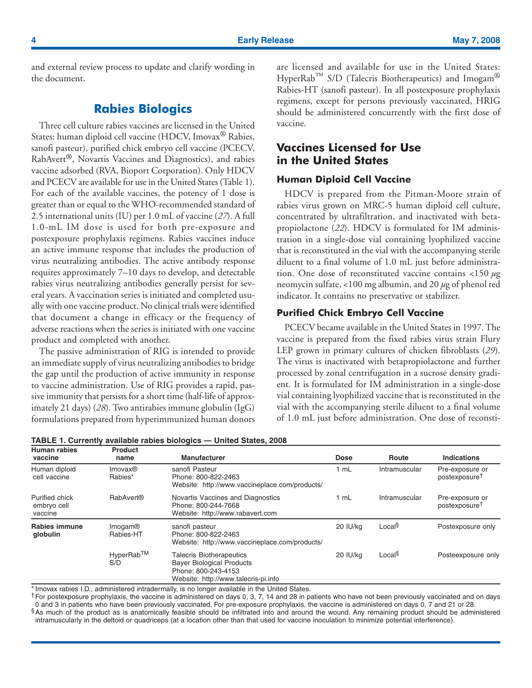<span id="page-5-0"></span>and external review process to update and clarify wording in the document.

## **Rabies Biologics**

Three cell culture rabies vaccines are licensed in the United States: human diploid cell vaccine (HDCV, Imovax® Rabies, sanofi pasteur), purified chick embryo cell vaccine (PCECV, RabAvert®, Novartis Vaccines and Diagnostics), and rabies vaccine adsorbed (RVA, Bioport Corporation). Only HDCV and PCECV are available for use in the United States (Table 1). For each of the available vaccines, the potency of 1 dose is greater than or equal to the WHO-recommended standard of 2.5 international units (IU) per 1.0 mL of vaccine (*27*). A full 1.0-mL IM dose is used for both pre-exposure and postexposure prophylaxis regimens. Rabies vaccines induce an active immune response that includes the production of virus neutralizing antibodies. The active antibody response requires approximately 7–10 days to develop, and detectable rabies virus neutralizing antibodies generally persist for several years. A vaccination series is initiated and completed usually with one vaccine product. No clinical trials were identified that document a change in efficacy or the frequency of adverse reactions when the series is initiated with one vaccine product and completed with another.

The passive administration of RIG is intended to provide an immediate supply of virus neutralizing antibodies to bridge the gap until the production of active immunity in response to vaccine administration. Use of RIG provides a rapid, passive immunity that persists for a short time (half-life of approximately 21 days) (*28*). Two antirabies immune globulin (IgG) formulations prepared from hyperimmunized human donors

are licensed and available for use in the United States: HyperRab<sup>™</sup> S/D (Talecris Biotherapeutics) and Imogam<sup>®</sup> Rabies-HT (sanofi pasteur). In all postexposure prophylaxis regimens, except for persons previously vaccinated, HRIG should be administered concurrently with the first dose of vaccine.

## **Vaccines Licensed for Use in the United States**

#### **Human Diploid Cell Vaccine**

HDCV is prepared from the Pitman-Moore strain of rabies virus grown on MRC-5 human diploid cell culture, concentrated by ultrafiltration, and inactivated with betapropiolactone (*22*). HDCV is formulated for IM administration in a single-dose vial containing lyophilized vaccine that is reconstituted in the vial with the accompanying sterile diluent to a final volume of 1.0 mL just before administration. One dose of reconstituted vaccine contains <150 *µ*g neomycin sulfate, <100 mg albumin, and 20 *µ*g of phenol red indicator. It contains no preservative or stabilizer.

#### **Purified Chick Embryo Cell Vaccine**

PCECV became available in the United States in 1997. The vaccine is prepared from the fixed rabies virus strain Flury LEP grown in primary cultures of chicken fibroblasts (*29*). The virus is inactivated with betapropiolactone and further processed by zonal centrifugation in a sucrose density gradient. It is formulated for IM administration in a single-dose vial containing lyophilized vaccine that is reconstituted in the vial with the accompanying sterile diluent to a final volume of 1.0 mL just before administration. One dose of reconsti-

| Human rabies<br>vaccine                  | <b>Product</b><br>name        | <b>Manufacturer</b>                                                                                                                | <b>Dose</b> | Route              | Indications                                  |
|------------------------------------------|-------------------------------|------------------------------------------------------------------------------------------------------------------------------------|-------------|--------------------|----------------------------------------------|
| Human diploid<br>cell vaccine            | <b>Imovax®</b><br>Rabies*     | sanofi Pasteur<br>Phone: 800-822-2463<br>Website: http://www.vaccineplace.com/products/                                            | mL          | Intramuscular      | Pre-exposure or<br>postexposure <sup>†</sup> |
| Purified chick<br>embryo cell<br>vaccine | <b>RabAvert®</b>              | Novartis Vaccines and Diagnostics<br>Phone: 800-244-7668<br>Website: http://www.rabavert.com                                       | 1 mL        | Intramuscular      | Pre-exposure or<br>postexposure <sup>†</sup> |
| <b>Rabies immune</b><br>globulin         | <i>Imogam®</i><br>Rabies-HT   | sanofi pasteur<br>Phone: 800-822-2463<br>Website: http://www.vaccineplace.com/products/                                            | 20 IU/kg    | Local <sup>§</sup> | Postexposure only                            |
|                                          | HyperRab <sup>TM</sup><br>S/D | <b>Talecris Biotherapeutics</b><br><b>Bayer Biological Products</b><br>Phone: 800-243-4153<br>Website: http://www.talecris-pi.info | 20 IU/kg    | Local <sup>§</sup> | Posteexposure only                           |

**TABLE 1. Currently available rabies biologics — United States, 2008**

\* Imovax rabies I.D., administered intradermally, is no longer available in the United States.

<sup>†</sup>For postexposure prophylaxis, the vaccine is administered on days 0, 3, 7, 14 and 28 in patients who have not been previously vaccinated and on days 0 and 3 in patients who have been previously vaccinated. For pre-exposure prophylaxis, the vaccine is administered on days 0, 7 and 21 or 28.

§As much of the product as is anatomically feasible should be infiltrated into and around the wound. Any remaining product should be administered intramuscularly in the deltoid or quadriceps (at a location other than that used for vaccine inoculation to minimize potential interference).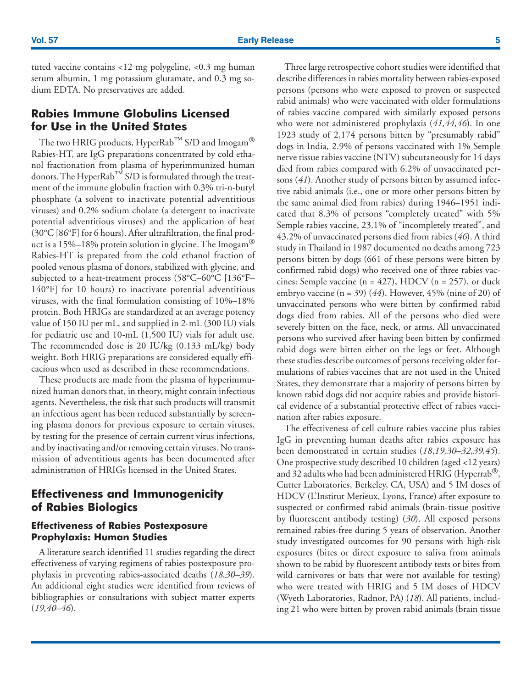<span id="page-6-0"></span>tuted vaccine contains <12 mg polygeline, <0.3 mg human serum albumin, 1 mg potassium glutamate, and 0.3 mg sodium EDTA. No preservatives are added.

## **Rabies Immune Globulins Licensed for Use in the United States**

The two HRIG products, HyperRab™ S/D and Imogam® Rabies-HT, are IgG preparations concentrated by cold ethanol fractionation from plasma of hyperimmunized human donors. The HyperRab<sup>™</sup> S/D is formulated through the treatment of the immune globulin fraction with 0.3% tri-n-butyl phosphate (a solvent to inactivate potential adventitious viruses) and 0.2% sodium cholate (a detergent to inactivate potential adventitious viruses) and the application of heat (30°C [86°F] for 6 hours). After ultrafiltration, the final product is a 15%–18% protein solution in glycine. The Imogam<sup>®</sup> Rabies-HT is prepared from the cold ethanol fraction of pooled venous plasma of donors, stabilized with glycine, and subjected to a heat-treatment process (58°C–60°C [136°F– 140°F] for 10 hours) to inactivate potential adventitious viruses, with the final formulation consisting of 10%–18% protein. Both HRIGs are standardized at an average potency value of 150 IU per mL, and supplied in 2-mL (300 IU) vials for pediatric use and 10-mL (1,500 IU) vials for adult use. The recommended dose is 20 IU/kg (0.133 mL/kg) body weight. Both HRIG preparations are considered equally efficacious when used as described in these recommendations.

These products are made from the plasma of hyperimmunized human donors that, in theory, might contain infectious agents. Nevertheless, the risk that such products will transmit an infectious agent has been reduced substantially by screening plasma donors for previous exposure to certain viruses, by testing for the presence of certain current virus infections, and by inactivating and/or removing certain viruses. No transmission of adventitious agents has been documented after administration of HRIGs licensed in the United States.

## **Effectiveness and Immunogenicity of Rabies Biologics**

### **Effectiveness of Rabies Postexposure Prophylaxis: Human Studies**

A literature search identified 11 studies regarding the direct effectiveness of varying regimens of rabies postexposure prophylaxis in preventing rabies-associated deaths (*18,30–39*). An additional eight studies were identified from reviews of bibliographies or consultations with subject matter experts (*19,40–46*).

Three large retrospective cohort studies were identified that describe differences in rabies mortality between rabies-exposed persons (persons who were exposed to proven or suspected rabid animals) who were vaccinated with older formulations of rabies vaccine compared with similarly exposed persons who were not administered prophylaxis (*41,44,46*). In one 1923 study of 2,174 persons bitten by "presumably rabid" dogs in India, 2.9% of persons vaccinated with 1% Semple nerve tissue rabies vaccine (NTV) subcutaneously for 14 days died from rabies compared with 6.2% of unvaccinated persons (*41*). Another study of persons bitten by assumed infective rabid animals (i.e., one or more other persons bitten by the same animal died from rabies) during 1946–1951 indicated that 8.3% of persons "completely treated" with 5% Semple rabies vaccine, 23.1% of "incompletely treated", and 43.2% of unvaccinated persons died from rabies (*46*). A third study in Thailand in 1987 documented no deaths among 723 persons bitten by dogs (661 of these persons were bitten by confirmed rabid dogs) who received one of three rabies vaccines: Semple vaccine ( $n = 427$ ), HDCV ( $n = 257$ ), or duck embryo vaccine (n = 39) (*44*). However, 45% (nine of 20) of unvaccinated persons who were bitten by confirmed rabid dogs died from rabies. All of the persons who died were severely bitten on the face, neck, or arms. All unvaccinated persons who survived after having been bitten by confirmed rabid dogs were bitten either on the legs or feet. Although these studies describe outcomes of persons receiving older formulations of rabies vaccines that are not used in the United States, they demonstrate that a majority of persons bitten by known rabid dogs did not acquire rabies and provide historical evidence of a substantial protective effect of rabies vaccination after rabies exposure.

The effectiveness of cell culture rabies vaccine plus rabies IgG in preventing human deaths after rabies exposure has been demonstrated in certain studies (*18*,*19,30–32,39,45*). One prospective study described 10 children (aged <12 years) and 32 adults who had been administered HRIG (Hyperrab<sup>®</sup>, Cutter Laboratories, Berkeley, CA, USA) and 5 IM doses of HDCV (L'Institut Merieux, Lyons, France) after exposure to suspected or confirmed rabid animals (brain-tissue positive by fluorescent antibody testing) (*30*). All exposed persons remained rabies-free during 5 years of observation. Another study investigated outcomes for 90 persons with high-risk exposures (bites or direct exposure to saliva from animals shown to be rabid by fluorescent antibody tests or bites from wild carnivores or bats that were not available for testing) who were treated with HRIG and 5 IM doses of HDCV (Wyeth Laboratories, Radnor, PA) (*18*). All patients, including 21 who were bitten by proven rabid animals (brain tissue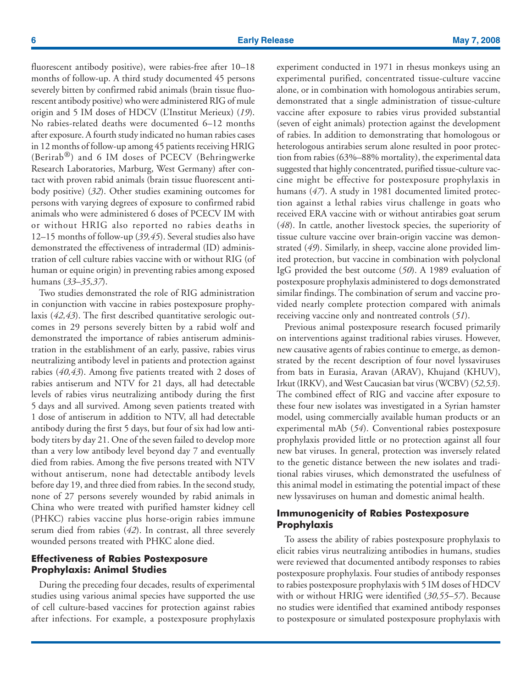fluorescent antibody positive), were rabies-free after 10–18 months of follow-up. A third study documented 45 persons severely bitten by confirmed rabid animals (brain tissue fluorescent antibody positive) who were administered RIG of mule origin and 5 IM doses of HDCV (L'Institut Merieux) (*19*). No rabies-related deaths were documented 6–12 months after exposure. A fourth study indicated no human rabies cases in 12 months of follow-up among 45 patients receiving HRIG (Berirab®) and 6 IM doses of PCECV (Behringwerke Research Laboratories, Marburg, West Germany) after contact with proven rabid animals (brain tissue fluorescent antibody positive) (*32*). Other studies examining outcomes for persons with varying degrees of exposure to confirmed rabid animals who were administered 6 doses of PCECV IM with or without HRIG also reported no rabies deaths in 12–15 months of follow-up (*39,45*). Several studies also have demonstrated the effectiveness of intradermal (ID) administration of cell culture rabies vaccine with or without RIG (of human or equine origin) in preventing rabies among exposed humans (*33–35,37*).

Two studies demonstrated the role of RIG administration in conjunction with vaccine in rabies postexposure prophylaxis (*42,43*). The first described quantitative serologic outcomes in 29 persons severely bitten by a rabid wolf and demonstrated the importance of rabies antiserum administration in the establishment of an early, passive, rabies virus neutralizing antibody level in patients and protection against rabies (*40,43*). Among five patients treated with 2 doses of rabies antiserum and NTV for 21 days, all had detectable levels of rabies virus neutralizing antibody during the first 5 days and all survived. Among seven patients treated with 1 dose of antiserum in addition to NTV, all had detectable antibody during the first 5 days, but four of six had low antibody titers by day 21. One of the seven failed to develop more than a very low antibody level beyond day 7 and eventually died from rabies. Among the five persons treated with NTV without antiserum, none had detectable antibody levels before day 19, and three died from rabies. In the second study, none of 27 persons severely wounded by rabid animals in China who were treated with purified hamster kidney cell (PHKC) rabies vaccine plus horse-origin rabies immune serum died from rabies (*42*). In contrast, all three severely wounded persons treated with PHKC alone died.

### **Effectiveness of Rabies Postexposure Prophylaxis: Animal Studies**

During the preceding four decades, results of experimental studies using various animal species have supported the use of cell culture-based vaccines for protection against rabies after infections. For example, a postexposure prophylaxis experiment conducted in 1971 in rhesus monkeys using an experimental purified, concentrated tissue-culture vaccine alone, or in combination with homologous antirabies serum, demonstrated that a single administration of tissue-culture vaccine after exposure to rabies virus provided substantial (seven of eight animals) protection against the development of rabies. In addition to demonstrating that homologous or heterologous antirabies serum alone resulted in poor protection from rabies (63%–88% mortality), the experimental data suggested that highly concentrated, purified tissue-culture vaccine might be effective for postexposure prophylaxis in humans (*47*). A study in 1981 documented limited protection against a lethal rabies virus challenge in goats who received ERA vaccine with or without antirabies goat serum (*48*). In cattle, another livestock species, the superiority of tissue culture vaccine over brain-origin vaccine was demonstrated (*49*). Similarly, in sheep, vaccine alone provided limited protection, but vaccine in combination with polyclonal IgG provided the best outcome (*50*). A 1989 evaluation of postexposure prophylaxis administered to dogs demonstrated similar findings. The combination of serum and vaccine provided nearly complete protection compared with animals receiving vaccine only and nontreated controls (*51*).

Previous animal postexposure research focused primarily on interventions against traditional rabies viruses. However, new causative agents of rabies continue to emerge, as demonstrated by the recent description of four novel lyssaviruses from bats in Eurasia, Aravan (ARAV), Khujand (KHUV), Irkut (IRKV), and West Caucasian bat virus (WCBV) (*52,53*). The combined effect of RIG and vaccine after exposure to these four new isolates was investigated in a Syrian hamster model, using commercially available human products or an experimental mAb (*54*). Conventional rabies postexposure prophylaxis provided little or no protection against all four new bat viruses. In general, protection was inversely related to the genetic distance between the new isolates and traditional rabies viruses, which demonstrated the usefulness of this animal model in estimating the potential impact of these new lyssaviruses on human and domestic animal health.

### **Immunogenicity of Rabies Postexposure Prophylaxis**

To assess the ability of rabies postexposure prophylaxis to elicit rabies virus neutralizing antibodies in humans, studies were reviewed that documented antibody responses to rabies postexposure prophylaxis. Four studies of antibody responses to rabies postexposure prophylaxis with 5 IM doses of HDCV with or without HRIG were identified (*30,55–57*). Because no studies were identified that examined antibody responses to postexposure or simulated postexposure prophylaxis with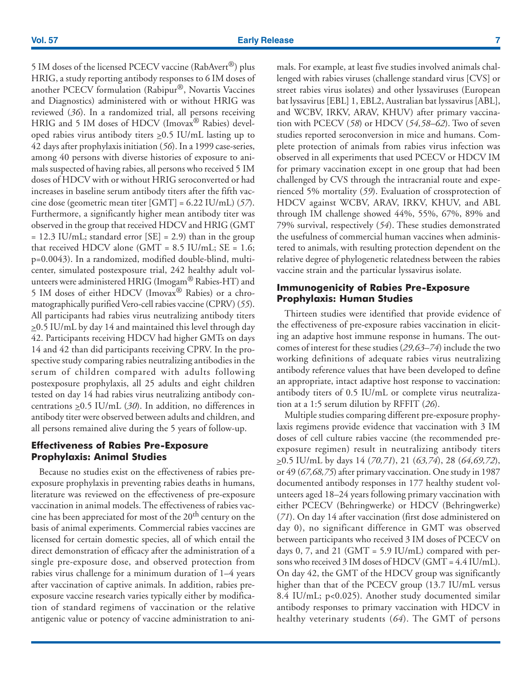5 IM doses of the licensed PCECV vaccine (RabAvert®) plus HRIG, a study reporting antibody responses to 6 IM doses of another PCECV formulation (Rabipur®, Novartis Vaccines and Diagnostics) administered with or without HRIG was reviewed (*36*). In a randomized trial, all persons receiving HRIG and 5 IM doses of HDCV (Imovax® Rabies) developed rabies virus antibody titers  $\geq 0.5$  IU/mL lasting up to 42 days after prophylaxis initiation (*56*). In a 1999 case-series, among 40 persons with diverse histories of exposure to animals suspected of having rabies, all persons who received 5 IM doses of HDCV with or without HRIG seroconverted or had increases in baseline serum antibody titers after the fifth vaccine dose (geometric mean titer [GMT] = 6.22 IU/mL) (*57*). Furthermore, a significantly higher mean antibody titer was observed in the group that received HDCV and HRIG (GMT  $= 12.3$  IU/mL; standard error [SE]  $= 2.9$ ) than in the group that received HDCV alone (GMT =  $8.5$  IU/mL; SE = 1.6; p=0.0043). In a randomized, modified double-blind, multicenter, simulated postexposure trial, 242 healthy adult volunteers were administered HRIG (Imogam® Rabies-HT) and 5 IM doses of either HDCV (Imovax® Rabies) or a chromatographically purified Vero-cell rabies vaccine (CPRV) (*55*). All participants had rabies virus neutralizing antibody titers  $\geq$ 0.5 IU/mL by day 14 and maintained this level through day 42. Participants receiving HDCV had higher GMTs on days 14 and 42 than did participants receiving CPRV. In the prospective study comparing rabies neutralizing antibodies in the serum of children compared with adults following postexposure prophylaxis, all 25 adults and eight children tested on day 14 had rabies virus neutralizing antibody concentrations >0.5 IU/mL (*30*). In addition, no differences in antibody titer were observed between adults and children, and all persons remained alive during the 5 years of follow-up.

#### **Effectiveness of Rabies Pre-Exposure Prophylaxis: Animal Studies**

Because no studies exist on the effectiveness of rabies preexposure prophylaxis in preventing rabies deaths in humans, literature was reviewed on the effectiveness of pre-exposure vaccination in animal models. The effectiveness of rabies vaccine has been appreciated for most of the 20<sup>th</sup> century on the basis of animal experiments. Commercial rabies vaccines are licensed for certain domestic species, all of which entail the direct demonstration of efficacy after the administration of a single pre-exposure dose, and observed protection from rabies virus challenge for a minimum duration of 1–4 years after vaccination of captive animals. In addition, rabies preexposure vaccine research varies typically either by modification of standard regimens of vaccination or the relative antigenic value or potency of vaccine administration to animals. For example, at least five studies involved animals challenged with rabies viruses (challenge standard virus [CVS] or street rabies virus isolates) and other lyssaviruses (European bat lyssavirus [EBL] 1, EBL2, Australian bat lyssavirus [ABL], and WCBV, IRKV, ARAV, KHUV) after primary vaccination with PCECV (*58*) or HDCV (*54,58–62*). Two of seven studies reported seroconversion in mice and humans. Complete protection of animals from rabies virus infection was observed in all experiments that used PCECV or HDCV IM for primary vaccination except in one group that had been challenged by CVS through the intracranial route and experienced 5% mortality (*59*). Evaluation of crossprotection of HDCV against WCBV, ARAV, IRKV, KHUV, and ABL through IM challenge showed 44%, 55%, 67%, 89% and 79% survival, respectively (*54*). These studies demonstrated the usefulness of commercial human vaccines when administered to animals, with resulting protection dependent on the relative degree of phylogenetic relatedness between the rabies vaccine strain and the particular lyssavirus isolate.

### **Immunogenicity of Rabies Pre-Exposure Prophylaxis: Human Studies**

Thirteen studies were identified that provide evidence of the effectiveness of pre-exposure rabies vaccination in eliciting an adaptive host immune response in humans. The outcomes of interest for these studies (*29,63–74*) include the two working definitions of adequate rabies virus neutralizing antibody reference values that have been developed to define an appropriate, intact adaptive host response to vaccination: antibody titers of 0.5 IU/mL or complete virus neutralization at a 1:5 serum dilution by RFFIT (*26*).

Multiple studies comparing different pre-exposure prophylaxis regimens provide evidence that vaccination with 3 IM doses of cell culture rabies vaccine (the recommended preexposure regimen) result in neutralizing antibody titers >0.5 IU/mL by days 14 (*70,71*), 21 (*63,74*), 28 (*64,69,72*), or 49 (*67,68,75*) after primary vaccination. One study in 1987 documented antibody responses in 177 healthy student volunteers aged 18–24 years following primary vaccination with either PCECV (Behringwerke) or HDCV (Behringwerke) (*71*). On day 14 after vaccination (first dose administered on day 0), no significant difference in GMT was observed between participants who received 3 IM doses of PCECV on days 0, 7, and 21 (GMT = 5.9 IU/mL) compared with persons who received 3 IM doses of HDCV (GMT = 4.4 IU/mL). On day 42, the GMT of the HDCV group was significantly higher than that of the PCECV group (13.7 IU/mL versus 8.4 IU/mL; p<0.025). Another study documented similar antibody responses to primary vaccination with HDCV in healthy veterinary students (*64*). The GMT of persons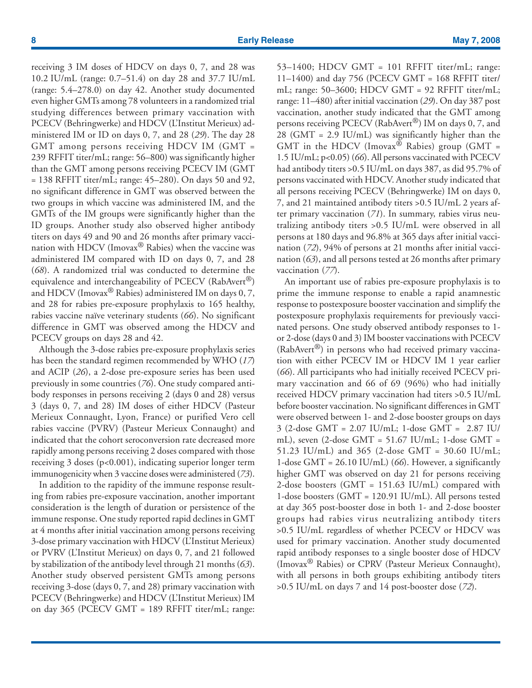receiving 3 IM doses of HDCV on days 0, 7, and 28 was 10.2 IU/mL (range: 0.7–51.4) on day 28 and 37.7 IU/mL (range: 5.4–278.0) on day 42. Another study documented even higher GMTs among 78 volunteers in a randomized trial studying differences between primary vaccination with PCECV (Behringwerke) and HDCV (L'Institut Merieux) administered IM or ID on days 0, 7, and 28 (*29*). The day 28 GMT among persons receiving HDCV IM (GMT = 239 RFFIT titer/mL; range: 56–800) was significantly higher than the GMT among persons receiving PCECV IM (GMT = 138 RFFIT titer/mL; range: 45–280). On days 50 and 92, no significant difference in GMT was observed between the two groups in which vaccine was administered IM, and the GMTs of the IM groups were significantly higher than the ID groups. Another study also observed higher antibody titers on days 49 and 90 and 26 months after primary vaccination with HDCV (Imovax® Rabies) when the vaccine was administered IM compared with ID on days 0, 7, and 28 (*68*). A randomized trial was conducted to determine the equivalence and interchangeability of PCECV (RabAvert<sup>®)</sup> and HDCV (Imovax® Rabies) administered IM on days 0, 7, and 28 for rabies pre-exposure prophylaxis to 165 healthy, rabies vaccine naïve veterinary students (*66*). No significant difference in GMT was observed among the HDCV and PCECV groups on days 28 and 42.

Although the 3-dose rabies pre-exposure prophylaxis series has been the standard regimen recommended by WHO (*17*) and ACIP (*26*), a 2-dose pre-exposure series has been used previously in some countries (*76*). One study compared antibody responses in persons receiving 2 (days 0 and 28) versus 3 (days 0, 7, and 28) IM doses of either HDCV (Pasteur Merieux Connaught, Lyon, France) or purified Vero cell rabies vaccine (PVRV) (Pasteur Merieux Connaught) and indicated that the cohort seroconversion rate decreased more rapidly among persons receiving 2 doses compared with those receiving 3 doses (p<0.001), indicating superior longer term immunogenicity when 3 vaccine doses were administered (*73*).

In addition to the rapidity of the immune response resulting from rabies pre-exposure vaccination, another important consideration is the length of duration or persistence of the immune response. One study reported rapid declines in GMT at 4 months after initial vaccination among persons receiving 3-dose primary vaccination with HDCV (L'Institut Merieux) or PVRV (L'Institut Merieux) on days 0, 7, and 21 followed by stabilization of the antibody level through 21 months (*63*). Another study observed persistent GMTs among persons receiving 3-dose (days 0, 7, and 28) primary vaccination with PCECV (Behringwerke) and HDCV (L'Institut Merieux) IM on day 365 (PCECV GMT = 189 RFFIT titer/mL; range:

53–1400; HDCV GMT = 101 RFFIT titer/mL; range: 11–1400) and day 756 (PCECV GMT = 168 RFFIT titer/ mL; range: 50–3600; HDCV GMT = 92 RFFIT titer/mL; range: 11–480) after initial vaccination (*29*). On day 387 post vaccination, another study indicated that the GMT among persons receiving PCECV (RabAvert®) IM on days 0, 7, and 28 (GMT = 2.9 IU/mL) was significantly higher than the GMT in the HDCV (Imovax<sup>®</sup> Rabies) group (GMT = 1.5 IU/mL; p<0.05) (*66*). All persons vaccinated with PCECV had antibody titers > 0.5 IU/mL on days 387, as did 95.7% of persons vaccinated with HDCV. Another study indicated that all persons receiving PCECV (Behringwerke) IM on days 0, 7, and 21 maintained antibody titers >0.5 IU/mL 2 years after primary vaccination (*71*). In summary, rabies virus neutralizing antibody titers >0.5 IU/mL were observed in all persons at 180 days and 96.8% at 365 days after initial vaccination (*72*), 94% of persons at 21 months after initial vaccination (*63*), and all persons tested at 26 months after primary vaccination (*77*).

An important use of rabies pre-exposure prophylaxis is to prime the immune response to enable a rapid anamnestic response to postexposure booster vaccination and simplify the postexposure prophylaxis requirements for previously vaccinated persons. One study observed antibody responses to 1 or 2-dose (days 0 and 3) IM booster vaccinations with PCECV (RabAvert®) in persons who had received primary vaccination with either PCECV IM or HDCV IM 1 year earlier (*66*). All participants who had initially received PCECV primary vaccination and 66 of 69 (96%) who had initially received HDCV primary vaccination had titers >0.5 IU/mL before booster vaccination. No significant differences in GMT were observed between 1- and 2-dose booster groups on days 3 (2-dose GMT = 2.07 IU/mL; 1-dose GMT = 2.87 IU/ mL), seven (2-dose GMT = 51.67 IU/mL; 1-dose GMT = 51.23 IU/mL) and 365 (2-dose GMT = 30.60 IU/mL; 1-dose GMT = 26.10 IU/mL) (*66*). However, a significantly higher GMT was observed on day 21 for persons receiving 2-dose boosters (GMT =  $151.63$  IU/mL) compared with 1-dose boosters (GMT = 120.91 IU/mL). All persons tested at day 365 post-booster dose in both 1- and 2-dose booster groups had rabies virus neutralizing antibody titers >0.5 IU/mL regardless of whether PCECV or HDCV was used for primary vaccination. Another study documented rapid antibody responses to a single booster dose of HDCV (Imovax® Rabies) or CPRV (Pasteur Merieux Connaught), with all persons in both groups exhibiting antibody titers >0.5 IU/mL on days 7 and 14 post-booster dose (*72*).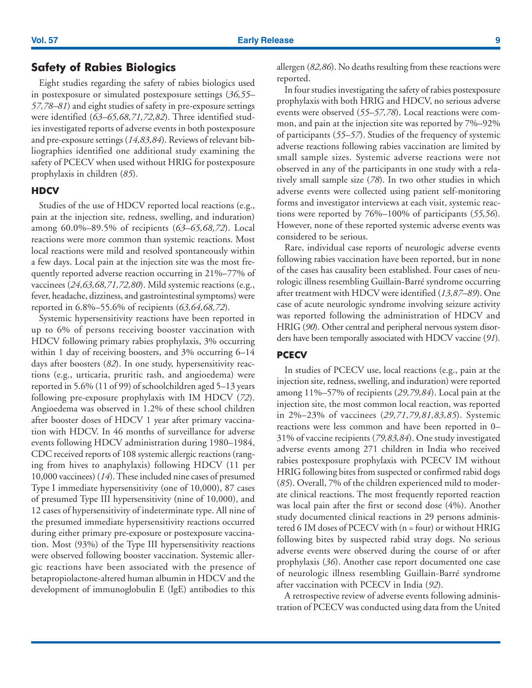### <span id="page-10-0"></span>**Safety of Rabies Biologics**

Eight studies regarding the safety of rabies biologics used in postexposure or simulated postexposure settings (*36,55– 57,78–81*) and eight studies of safety in pre-exposure settings were identified (*63–65,68,71,72,82*). Three identified studies investigated reports of adverse events in both postexposure and pre-exposure settings (*14,83,84*). Reviews of relevant bibliographies identified one additional study examining the safety of PCECV when used without HRIG for postexposure prophylaxis in children (*85*)*.*

#### **HDCV**

Studies of the use of HDCV reported local reactions (e.g., pain at the injection site, redness, swelling, and induration) among 60.0%–89.5% of recipients (*63–65,68,72*). Local reactions were more common than systemic reactions. Most local reactions were mild and resolved spontaneously within a few days. Local pain at the injection site was the most frequently reported adverse reaction occurring in 21%–77% of vaccinees (*24,63,68,71,72,80*). Mild systemic reactions (e.g., fever, headache, dizziness, and gastrointestinal symptoms) were reported in 6.8%–55.6% of recipients (*63,64,68,72*).

Systemic hypersensitivity reactions have been reported in up to 6% of persons receiving booster vaccination with HDCV following primary rabies prophylaxis, 3% occurring within 1 day of receiving boosters, and 3% occurring 6–14 days after boosters (*82*). In one study, hypersensitivity reactions (e.g., urticaria, pruritic rash, and angioedema) were reported in 5.6% (11 of 99) of schoolchildren aged 5–13 years following pre-exposure prophylaxis with IM HDCV (*72*). Angioedema was observed in 1.2% of these school children after booster doses of HDCV 1 year after primary vaccination with HDCV. In 46 months of surveillance for adverse events following HDCV administration during 1980–1984, CDC received reports of 108 systemic allergic reactions (ranging from hives to anaphylaxis) following HDCV (11 per 10,000 vaccinees) (*14*). These included nine cases of presumed Type I immediate hypersensitivity (one of 10,000), 87 cases of presumed Type III hypersensitivity (nine of 10,000), and 12 cases of hypersensitivity of indeterminate type. All nine of the presumed immediate hypersensitivity reactions occurred during either primary pre-exposure or postexposure vaccination. Most (93%) of the Type III hypersensitivity reactions were observed following booster vaccination. Systemic allergic reactions have been associated with the presence of betapropiolactone-altered human albumin in HDCV and the development of immunoglobulin E (IgE) antibodies to this

allergen (*82,86*). No deaths resulting from these reactions were reported.

In four studies investigating the safety of rabies postexposure prophylaxis with both HRIG and HDCV, no serious adverse events were observed (*55–57,78*). Local reactions were common, and pain at the injection site was reported by 7%–92% of participants (*55–57*). Studies of the frequency of systemic adverse reactions following rabies vaccination are limited by small sample sizes. Systemic adverse reactions were not observed in any of the participants in one study with a relatively small sample size (*78*). In two other studies in which adverse events were collected using patient self-monitoring forms and investigator interviews at each visit, systemic reactions were reported by 76%–100% of participants (*55,56*). However, none of these reported systemic adverse events was considered to be serious.

Rare, individual case reports of neurologic adverse events following rabies vaccination have been reported, but in none of the cases has causality been established. Four cases of neurologic illness resembling Guillain-Barré syndrome occurring after treatment with HDCV were identified (*13,87–89*). One case of acute neurologic syndrome involving seizure activity was reported following the administration of HDCV and HRIG (*90*). Other central and peripheral nervous system disorders have been temporally associated with HDCV vaccine (*91*).

#### **PCECV**

In studies of PCECV use, local reactions (e.g., pain at the injection site, redness, swelling, and induration) were reported among 11%–57% of recipients (*29,79,84*). Local pain at the injection site, the most common local reaction, was reported in 2%–23% of vaccinees (*29,71,79,81,83,85*). Systemic reactions were less common and have been reported in 0– 31% of vaccine recipients (*79,83,84*). One study investigated adverse events among 271 children in India who received rabies postexposure prophylaxis with PCECV IM without HRIG following bites from suspected or confirmed rabid dogs (*85*). Overall, 7% of the children experienced mild to moderate clinical reactions. The most frequently reported reaction was local pain after the first or second dose (4%). Another study documented clinical reactions in 29 persons administered 6 IM doses of PCECV with (n = four) or without HRIG following bites by suspected rabid stray dogs. No serious adverse events were observed during the course of or after prophylaxis (*36*). Another case report documented one case of neurologic illness resembling Guillain-Barré syndrome after vaccination with PCECV in India (*92*).

A retrospective review of adverse events following administration of PCECV was conducted using data from the United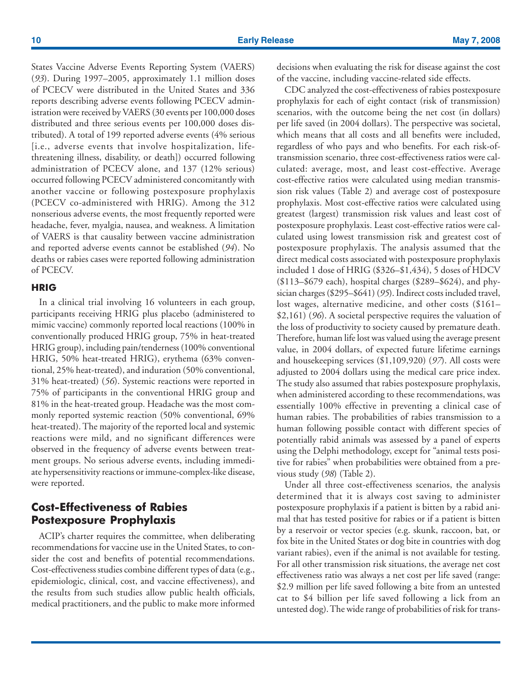<span id="page-11-0"></span>States Vaccine Adverse Events Reporting System (VAERS) (*93*). During 1997–2005, approximately 1.1 million doses of PCECV were distributed in the United States and 336 reports describing adverse events following PCECV administration were received by VAERS (30 events per 100,000 doses distributed and three serious events per 100,000 doses distributed). A total of 199 reported adverse events (4% serious [i.e., adverse events that involve hospitalization, lifethreatening illness, disability, or death]) occurred following administration of PCECV alone, and 137 (12% serious) occurred following PCECV administered concomitantly with another vaccine or following postexposure prophylaxis (PCECV co-administered with HRIG). Among the 312 nonserious adverse events, the most frequently reported were headache, fever, myalgia, nausea, and weakness. A limitation of VAERS is that causality between vaccine administration and reported adverse events cannot be established (*94*). No deaths or rabies cases were reported following administration of PCECV.

#### **HRIG**

In a clinical trial involving 16 volunteers in each group, participants receiving HRIG plus placebo (administered to mimic vaccine) commonly reported local reactions (100% in conventionally produced HRIG group, 75% in heat-treated HRIG group), including pain/tenderness (100% conventional HRIG, 50% heat-treated HRIG), erythema (63% conventional, 25% heat-treated), and induration (50% conventional, 31% heat-treated) (*56*). Systemic reactions were reported in 75% of participants in the conventional HRIG group and 81% in the heat-treated group. Headache was the most commonly reported systemic reaction (50% conventional, 69% heat-treated). The majority of the reported local and systemic reactions were mild, and no significant differences were observed in the frequency of adverse events between treatment groups. No serious adverse events, including immediate hypersensitivity reactions or immune-complex-like disease, were reported.

## **Cost-Effectiveness of Rabies Postexposure Prophylaxis**

ACIP's charter requires the committee, when deliberating recommendations for vaccine use in the United States, to consider the cost and benefits of potential recommendations. Cost-effectiveness studies combine different types of data (e.g., epidemiologic, clinical, cost, and vaccine effectiveness), and the results from such studies allow public health officials, medical practitioners, and the public to make more informed decisions when evaluating the risk for disease against the cost of the vaccine, including vaccine-related side effects.

CDC analyzed the cost-effectiveness of rabies postexposure prophylaxis for each of eight contact (risk of transmission) scenarios, with the outcome being the net cost (in dollars) per life saved (in 2004 dollars). The perspective was societal, which means that all costs and all benefits were included, regardless of who pays and who benefits. For each risk-oftransmission scenario, three cost-effectiveness ratios were calculated: average, most, and least cost-effective. Average cost-effective ratios were calculated using median transmission risk values (Table 2) and average cost of postexposure prophylaxis. Most cost-effective ratios were calculated using greatest (largest) transmission risk values and least cost of postexposure prophylaxis. Least cost-effective ratios were calculated using lowest transmission risk and greatest cost of postexposure prophylaxis. The analysis assumed that the direct medical costs associated with postexposure prophylaxis included 1 dose of HRIG (\$326–\$1,434), 5 doses of HDCV (\$113–\$679 each), hospital charges (\$289–\$624), and physician charges (\$295–\$641) (*95*). Indirect costs included travel, lost wages, alternative medicine, and other costs (\$161– \$2,161) (*96*). A societal perspective requires the valuation of the loss of productivity to society caused by premature death. Therefore, human life lost was valued using the average present value, in 2004 dollars, of expected future lifetime earnings and housekeeping services (\$1,109,920) (*97*). All costs were adjusted to 2004 dollars using the medical care price index. The study also assumed that rabies postexposure prophylaxis, when administered according to these recommendations, was essentially 100% effective in preventing a clinical case of human rabies. The probabilities of rabies transmission to a human following possible contact with different species of potentially rabid animals was assessed by a panel of experts using the Delphi methodology, except for "animal tests positive for rabies" when probabilities were obtained from a previous study (*98*) (Table 2).

Under all three cost-effectiveness scenarios, the analysis determined that it is always cost saving to administer postexposure prophylaxis if a patient is bitten by a rabid animal that has tested positive for rabies or if a patient is bitten by a reservoir or vector species (e.g. skunk, raccoon, bat, or fox bite in the United States or dog bite in countries with dog variant rabies), even if the animal is not available for testing. For all other transmission risk situations, the average net cost effectiveness ratio was always a net cost per life saved (range: \$2.9 million per life saved following a bite from an untested cat to \$4 billion per life saved following a lick from an untested dog). The wide range of probabilities of risk for trans-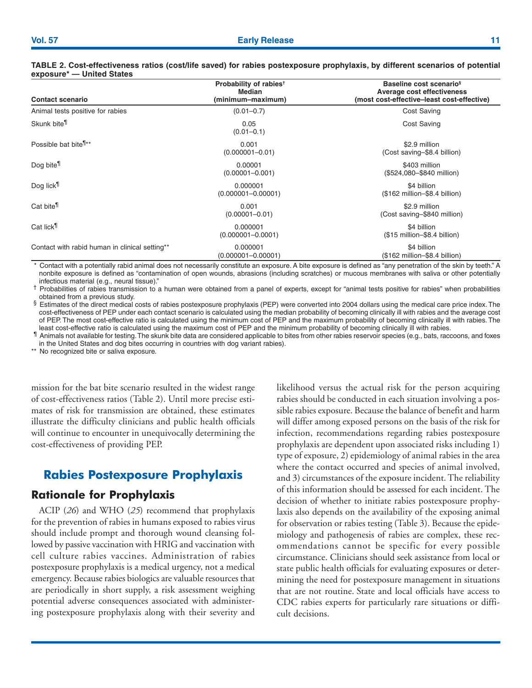| <b>Contact scenario</b>                        | Probability of rabies <sup>t</sup><br>Median<br>(minimum–maximum) | Baseline cost scenario <sup>§</sup><br>Average cost effectiveness<br>(most cost-effective-least cost-effective) |
|------------------------------------------------|-------------------------------------------------------------------|-----------------------------------------------------------------------------------------------------------------|
| Animal tests positive for rabies               | $(0.01 - 0.7)$                                                    | Cost Saving                                                                                                     |
| Skunk bite <sup>1</sup>                        | 0.05<br>$(0.01 - 0.1)$                                            | Cost Saving                                                                                                     |
| Possible bat bite <sup>1</sup> **              | 0.001<br>$(0.000001 - 0.01)$                                      | \$2.9 million<br>(Cost saving-\$8.4 billion)                                                                    |
| Dog bite <sup>¶</sup>                          | 0.00001<br>$(0.00001 - 0.001)$                                    | \$403 million<br>(\$524,080-\$840 million)                                                                      |
| Dog lick <sup>11</sup>                         | 0.000001<br>$(0.000001 - 0.00001)$                                | \$4 billion<br>(\$162 million-\$8.4 billion)                                                                    |
| Cat bite <sup>1</sup>                          | 0.001<br>$(0.00001 - 0.01)$                                       | \$2.9 million<br>(Cost saving-\$840 million)                                                                    |
| Cat lick <sup>1</sup>                          | 0.000001<br>$(0.000001 - 0.0001)$                                 | \$4 billion<br>$($15$ million-\$8.4 billion)                                                                    |
| Contact with rabid human in clinical setting** | 0.000001<br>$(0.000001 - 0.00001)$                                | \$4 billion<br>(\$162 million-\$8.4 billion)                                                                    |

#### <span id="page-12-0"></span>**TABLE 2. Cost-effectiveness ratios (cost/life saved) for rabies postexposure prophylaxis, by different scenarios of potential exposure\* — United States**

Contact with a potentially rabid animal does not necessarily constitute an exposure. A bite exposure is defined as "any penetration of the skin by teeth." A nonbite exposure is defined as "contamination of open wounds, abrasions (including scratches) or mucous membranes with saliva or other potentially infectious material (e.g., neural tissue)."

<sup>†</sup> Probabilities of rabies transmission to a human were obtained from a panel of experts, except for "animal tests positive for rabies" when probabilities

obtained from a previous study.<br>§ Estimates of the direct medical costs of rabies postexposure prophylaxis (PEP) were converted into 2004 dollars using the medical care price index. The cost-effectiveness of PEP under each contact scenario is calculated using the median probability of becoming clinically ill with rabies and the average cost of PEP. The most cost-effective ratio is calculated using the minimum cost of PEP and the maximum probability of becoming clinically ill with rabies. The least cost-effective ratio is calculated using the maximum cost of PEP and the minimum probability of becoming clinically ill with rabies.

¶ Animals not available for testing. The skunk bite data are considered applicable to bites from other rabies reservoir species (e.g., bats, raccoons, and foxes in the United States and dog bites occurring in countries with dog variant rabies).

\*\* No recognized bite or saliva exposure.

mission for the bat bite scenario resulted in the widest range of cost-effectiveness ratios (Table 2). Until more precise estimates of risk for transmission are obtained, these estimates illustrate the difficulty clinicians and public health officials will continue to encounter in unequivocally determining the cost-effectiveness of providing PEP.

## **Rabies Postexposure Prophylaxis**

## **Rationale for Prophylaxis**

ACIP (*26*) and WHO (*25*) recommend that prophylaxis for the prevention of rabies in humans exposed to rabies virus should include prompt and thorough wound cleansing followed by passive vaccination with HRIG and vaccination with cell culture rabies vaccines. Administration of rabies postexposure prophylaxis is a medical urgency, not a medical emergency. Because rabies biologics are valuable resources that are periodically in short supply, a risk assessment weighing potential adverse consequences associated with administering postexposure prophylaxis along with their severity and likelihood versus the actual risk for the person acquiring rabies should be conducted in each situation involving a possible rabies exposure. Because the balance of benefit and harm will differ among exposed persons on the basis of the risk for infection, recommendations regarding rabies postexposure prophylaxis are dependent upon associated risks including 1) type of exposure, 2) epidemiology of animal rabies in the area where the contact occurred and species of animal involved, and 3) circumstances of the exposure incident. The reliability of this information should be assessed for each incident. The decision of whether to initiate rabies postexposure prophylaxis also depends on the availability of the exposing animal for observation or rabies testing (Table 3). Because the epidemiology and pathogenesis of rabies are complex, these recommendations cannot be specific for every possible circumstance. Clinicians should seek assistance from local or state public health officials for evaluating exposures or determining the need for postexposure management in situations that are not routine. State and local officials have access to CDC rabies experts for particularly rare situations or difficult decisions.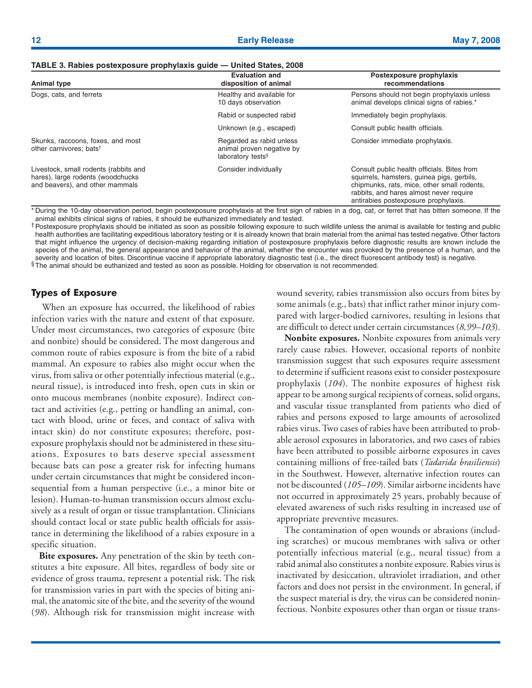| <b>Animal type</b>                                                                                            | <b>Evaluation and</b><br>disposition of animal                                         | Postexposure prophylaxis<br>recommendations                                                                                                                                                                                 |
|---------------------------------------------------------------------------------------------------------------|----------------------------------------------------------------------------------------|-----------------------------------------------------------------------------------------------------------------------------------------------------------------------------------------------------------------------------|
| Dogs, cats, and ferrets                                                                                       | Healthy and available for<br>10 days observation                                       | Persons should not begin prophylaxis unless<br>animal develops clinical signs of rabies.*                                                                                                                                   |
|                                                                                                               | Rabid or suspected rabid                                                               | Immediately begin prophylaxis.                                                                                                                                                                                              |
|                                                                                                               | Unknown (e.g., escaped)                                                                | Consult public health officials.                                                                                                                                                                                            |
| Skunks, raccoons, foxes, and most<br>other carnivores: bats <sup>t</sup>                                      | Regarded as rabid unless<br>animal proven negative by<br>laboratory tests <sup>§</sup> | Consider immediate prophylaxis.                                                                                                                                                                                             |
| Livestock, small rodents (rabbits and<br>hares), large rodents (woodchucks<br>and beavers), and other mammals | Consider individually                                                                  | Consult public health officials. Bites from<br>squirrels, hamsters, guinea pigs, gerbils,<br>chipmunks, rats, mice, other small rodents,<br>rabbits, and hares almost never require<br>antirabies postexposure prophylaxis. |

#### **TABLE 3. Rabies postexposure prophylaxis guide — United States, 2008**

\* During the 10-day observation period, begin postexposure prophylaxis at the first sign of rabies in a dog, cat, or ferret that has bitten someone. If the animal exhibits clinical signs of rabies, it should be euthanized immediately and tested.

†Postexposure prophylaxis should be initiated as soon as possible following exposure to such wildlife unless the animal is available for testing and public health authorities are facilitating expeditious laboratory testing or it is already known that brain material from the animal has tested negative. Other factors that might influence the urgency of decision-making regarding initiation of postexposure prophylaxis before diagnostic results are known include the species of the animal, the general appearance and behavior of the animal, whether the encounter was provoked by the presence of a human, and the severity and location of bites. Discontinue vaccine if appropriate laboratory diagnostic test (i.e., the direct fluorescent antibody test) is negative.  $§$  The animal should be euthanized and tested as soon as possible. H

#### **Types of Exposure**

 When an exposure has occurred, the likelihood of rabies infection varies with the nature and extent of that exposure. Under most circumstances, two categories of exposure (bite and nonbite) should be considered. The most dangerous and common route of rabies exposure is from the bite of a rabid mammal. An exposure to rabies also might occur when the virus, from saliva or other potentially infectious material (e.g., neural tissue), is introduced into fresh, open cuts in skin or onto mucous membranes (nonbite exposure). Indirect contact and activities (e.g., petting or handling an animal, contact with blood, urine or feces, and contact of saliva with intact skin) do not constitute exposures; therefore, postexposure prophylaxis should not be administered in these situations. Exposures to bats deserve special assessment because bats can pose a greater risk for infecting humans under certain circumstances that might be considered inconsequential from a human perspective (i.e., a minor bite or lesion). Human-to-human transmission occurs almost exclusively as a result of organ or tissue transplantation. Clinicians should contact local or state public health officials for assistance in determining the likelihood of a rabies exposure in a specific situation.

**Bite exposures.** Any penetration of the skin by teeth constitutes a bite exposure. All bites, regardless of body site or evidence of gross trauma, represent a potential risk. The risk for transmission varies in part with the species of biting animal, the anatomic site of the bite, and the severity of the wound (*98*). Although risk for transmission might increase with wound severity, rabies transmission also occurs from bites by some animals (e.g., bats) that inflict rather minor injury compared with larger-bodied carnivores, resulting in lesions that are difficult to detect under certain circumstances (*8,99–103*).

**Nonbite exposures.** Nonbite exposures from animals very rarely cause rabies. However, occasional reports of nonbite transmission suggest that such exposures require assessment to determine if sufficient reasons exist to consider postexposure prophylaxis (*104*). The nonbite exposures of highest risk appear to be among surgical recipients of corneas, solid organs, and vascular tissue transplanted from patients who died of rabies and persons exposed to large amounts of aerosolized rabies virus. Two cases of rabies have been attributed to probable aerosol exposures in laboratories, and two cases of rabies have been attributed to possible airborne exposures in caves containing millions of free-tailed bats (*Tadarida brasiliensis*) in the Southwest. However, alternative infection routes can not be discounted (*105–109*). Similar airborne incidents have not occurred in approximately 25 years, probably because of elevated awareness of such risks resulting in increased use of appropriate preventive measures.

The contamination of open wounds or abrasions (including scratches) or mucous membranes with saliva or other potentially infectious material (e.g., neural tissue) from a rabid animal also constitutes a nonbite exposure. Rabies virus is inactivated by desiccation, ultraviolet irradiation, and other factors and does not persist in the environment. In general, if the suspect material is dry, the virus can be considered noninfectious. Nonbite exposures other than organ or tissue trans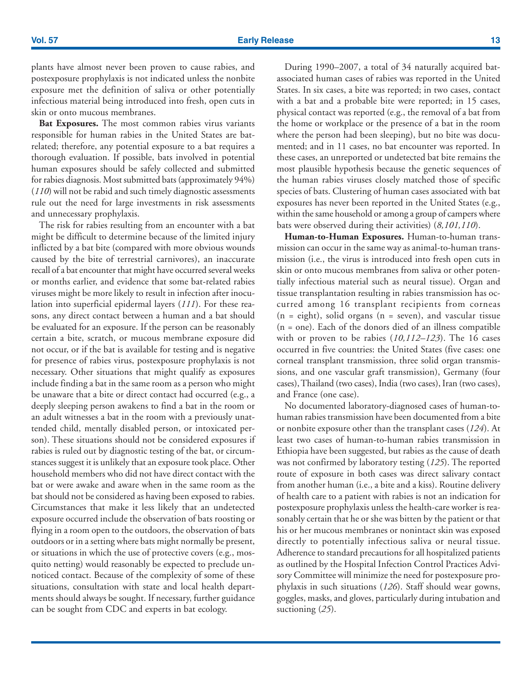plants have almost never been proven to cause rabies, and postexposure prophylaxis is not indicated unless the nonbite exposure met the definition of saliva or other potentially infectious material being introduced into fresh, open cuts in skin or onto mucous membranes.

**Bat Exposures.** The most common rabies virus variants responsible for human rabies in the United States are batrelated; therefore, any potential exposure to a bat requires a thorough evaluation. If possible, bats involved in potential human exposures should be safely collected and submitted for rabies diagnosis. Most submitted bats (approximately 94%) (*110*) will not be rabid and such timely diagnostic assessments rule out the need for large investments in risk assessments and unnecessary prophylaxis.

The risk for rabies resulting from an encounter with a bat might be difficult to determine because of the limited injury inflicted by a bat bite (compared with more obvious wounds caused by the bite of terrestrial carnivores), an inaccurate recall of a bat encounter that might have occurred several weeks or months earlier, and evidence that some bat-related rabies viruses might be more likely to result in infection after inoculation into superficial epidermal layers (*111*). For these reasons, any direct contact between a human and a bat should be evaluated for an exposure. If the person can be reasonably certain a bite, scratch, or mucous membrane exposure did not occur, or if the bat is available for testing and is negative for presence of rabies virus, postexposure prophylaxis is not necessary. Other situations that might qualify as exposures include finding a bat in the same room as a person who might be unaware that a bite or direct contact had occurred (e.g., a deeply sleeping person awakens to find a bat in the room or an adult witnesses a bat in the room with a previously unattended child, mentally disabled person, or intoxicated person). These situations should not be considered exposures if rabies is ruled out by diagnostic testing of the bat, or circumstances suggest it is unlikely that an exposure took place. Other household members who did not have direct contact with the bat or were awake and aware when in the same room as the bat should not be considered as having been exposed to rabies. Circumstances that make it less likely that an undetected exposure occurred include the observation of bats roosting or flying in a room open to the outdoors, the observation of bats outdoors or in a setting where bats might normally be present, or situations in which the use of protective covers (e.g., mosquito netting) would reasonably be expected to preclude unnoticed contact. Because of the complexity of some of these situations, consultation with state and local health departments should always be sought. If necessary, further guidance can be sought from CDC and experts in bat ecology.

During 1990–2007, a total of 34 naturally acquired batassociated human cases of rabies was reported in the United States. In six cases, a bite was reported; in two cases, contact with a bat and a probable bite were reported; in 15 cases, physical contact was reported (e.g., the removal of a bat from the home or workplace or the presence of a bat in the room where the person had been sleeping), but no bite was documented; and in 11 cases, no bat encounter was reported. In these cases, an unreported or undetected bat bite remains the most plausible hypothesis because the genetic sequences of the human rabies viruses closely matched those of specific species of bats. Clustering of human cases associated with bat exposures has never been reported in the United States (e.g., within the same household or among a group of campers where bats were observed during their activities) (*8,101,110*).

**Human-to-Human Exposures.** Human-to-human transmission can occur in the same way as animal-to-human transmission (i.e., the virus is introduced into fresh open cuts in skin or onto mucous membranes from saliva or other potentially infectious material such as neural tissue). Organ and tissue transplantation resulting in rabies transmission has occurred among 16 transplant recipients from corneas  $(n = eight)$ , solid organs  $(n = seven)$ , and vascular tissue  $(n = one)$ . Each of the donors died of an illness compatible with or proven to be rabies (*10,112–123*). The 16 cases occurred in five countries: the United States (five cases: one corneal transplant transmission, three solid organ transmissions, and one vascular graft transmission), Germany (four cases), Thailand (two cases), India (two cases), Iran (two cases), and France (one case).

No documented laboratory-diagnosed cases of human-tohuman rabies transmission have been documented from a bite or nonbite exposure other than the transplant cases (*124*). At least two cases of human-to-human rabies transmission in Ethiopia have been suggested, but rabies as the cause of death was not confirmed by laboratory testing (*125*). The reported route of exposure in both cases was direct salivary contact from another human (i.e., a bite and a kiss). Routine delivery of health care to a patient with rabies is not an indication for postexposure prophylaxis unless the health-care worker is reasonably certain that he or she was bitten by the patient or that his or her mucous membranes or nonintact skin was exposed directly to potentially infectious saliva or neural tissue. Adherence to standard precautions for all hospitalized patients as outlined by the Hospital Infection Control Practices Advisory Committee will minimize the need for postexposure prophylaxis in such situations (*126*). Staff should wear gowns, goggles, masks, and gloves, particularly during intubation and suctioning (*25*).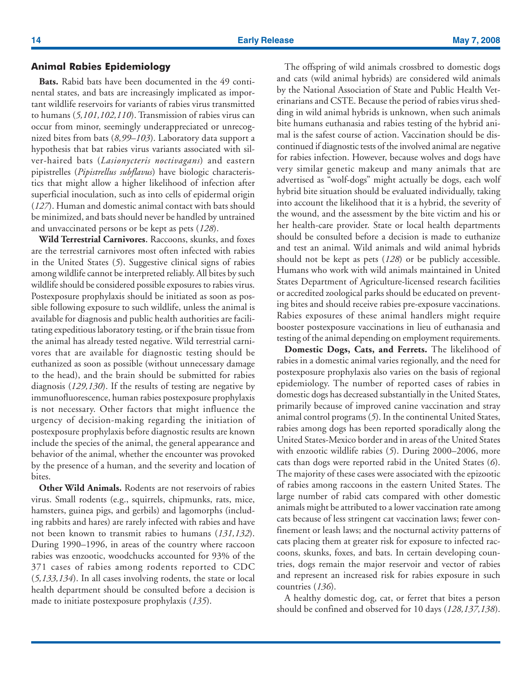### **Animal Rabies Epidemiology**

**Bats.** Rabid bats have been documented in the 49 continental states, and bats are increasingly implicated as important wildlife reservoirs for variants of rabies virus transmitted to humans (*5,101,102,110*). Transmission of rabies virus can occur from minor, seemingly underappreciated or unrecognized bites from bats (*8,99–103*). Laboratory data support a hypothesis that bat rabies virus variants associated with silver-haired bats (*Lasionycteris noctivagans*) and eastern pipistrelles (*Pipistrellus subflavus*) have biologic characteristics that might allow a higher likelihood of infection after superficial inoculation, such as into cells of epidermal origin (*127*). Human and domestic animal contact with bats should be minimized, and bats should never be handled by untrained and unvaccinated persons or be kept as pets (*128*).

**Wild Terrestrial Carnivores.** Raccoons, skunks, and foxes are the terrestrial carnivores most often infected with rabies in the United States (*5*). Suggestive clinical signs of rabies among wildlife cannot be interpreted reliably. All bites by such wildlife should be considered possible exposures to rabies virus. Postexposure prophylaxis should be initiated as soon as possible following exposure to such wildlife, unless the animal is available for diagnosis and public health authorities are facilitating expeditious laboratory testing, or if the brain tissue from the animal has already tested negative. Wild terrestrial carnivores that are available for diagnostic testing should be euthanized as soon as possible (without unnecessary damage to the head), and the brain should be submitted for rabies diagnosis (*129,130*). If the results of testing are negative by immunofluorescence, human rabies postexposure prophylaxis is not necessary. Other factors that might influence the urgency of decision-making regarding the initiation of postexposure prophylaxis before diagnostic results are known include the species of the animal, the general appearance and behavior of the animal, whether the encounter was provoked by the presence of a human, and the severity and location of bites.

**Other Wild Animals.** Rodents are not reservoirs of rabies virus. Small rodents (e.g., squirrels, chipmunks, rats, mice, hamsters, guinea pigs, and gerbils) and lagomorphs (including rabbits and hares) are rarely infected with rabies and have not been known to transmit rabies to humans (*131,132*). During 1990–1996, in areas of the country where raccoon rabies was enzootic, woodchucks accounted for 93% of the 371 cases of rabies among rodents reported to CDC (*5,133,134*). In all cases involving rodents, the state or local health department should be consulted before a decision is made to initiate postexposure prophylaxis (*135*).

The offspring of wild animals crossbred to domestic dogs and cats (wild animal hybrids) are considered wild animals by the National Association of State and Public Health Veterinarians and CSTE. Because the period of rabies virus shedding in wild animal hybrids is unknown, when such animals bite humans euthanasia and rabies testing of the hybrid animal is the safest course of action. Vaccination should be discontinued if diagnostic tests of the involved animal are negative for rabies infection. However, because wolves and dogs have very similar genetic makeup and many animals that are advertised as "wolf-dogs" might actually be dogs, each wolf hybrid bite situation should be evaluated individually, taking into account the likelihood that it is a hybrid, the severity of the wound, and the assessment by the bite victim and his or her health-care provider. State or local health departments should be consulted before a decision is made to euthanize and test an animal. Wild animals and wild animal hybrids should not be kept as pets (*128*) or be publicly accessible. Humans who work with wild animals maintained in United States Department of Agriculture-licensed research facilities or accredited zoological parks should be educated on preventing bites and should receive rabies pre-exposure vaccinations. Rabies exposures of these animal handlers might require booster postexposure vaccinations in lieu of euthanasia and testing of the animal depending on employment requirements.

**Domestic Dogs, Cats, and Ferrets.** The likelihood of rabies in a domestic animal varies regionally, and the need for postexposure prophylaxis also varies on the basis of regional epidemiology. The number of reported cases of rabies in domestic dogs has decreased substantially in the United States, primarily because of improved canine vaccination and stray animal control programs (*5*). In the continental United States, rabies among dogs has been reported sporadically along the United States-Mexico border and in areas of the United States with enzootic wildlife rabies (*5*). During 2000–2006, more cats than dogs were reported rabid in the United States (*6*). The majority of these cases were associated with the epizootic of rabies among raccoons in the eastern United States. The large number of rabid cats compared with other domestic animals might be attributed to a lower vaccination rate among cats because of less stringent cat vaccination laws; fewer confinement or leash laws; and the nocturnal activity patterns of cats placing them at greater risk for exposure to infected raccoons, skunks, foxes, and bats. In certain developing countries, dogs remain the major reservoir and vector of rabies and represent an increased risk for rabies exposure in such countries (*136*).

A healthy domestic dog, cat, or ferret that bites a person should be confined and observed for 10 days (*128,137,138*).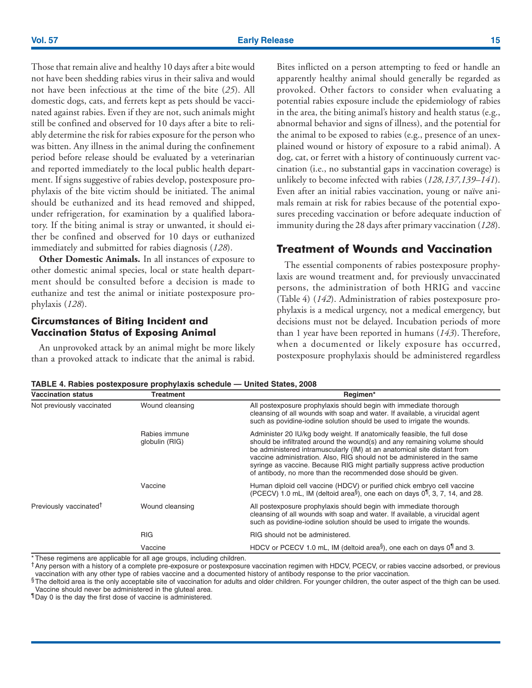<span id="page-16-0"></span>Those that remain alive and healthy 10 days after a bite would not have been shedding rabies virus in their saliva and would not have been infectious at the time of the bite (*25*). All domestic dogs, cats, and ferrets kept as pets should be vaccinated against rabies. Even if they are not, such animals might still be confined and observed for 10 days after a bite to reliably determine the risk for rabies exposure for the person who was bitten. Any illness in the animal during the confinement period before release should be evaluated by a veterinarian and reported immediately to the local public health department. If signs suggestive of rabies develop, postexposure prophylaxis of the bite victim should be initiated. The animal should be euthanized and its head removed and shipped, under refrigeration, for examination by a qualified laboratory. If the biting animal is stray or unwanted, it should either be confined and observed for 10 days or euthanized immediately and submitted for rabies diagnosis (*128*).

**Other Domestic Animals.** In all instances of exposure to other domestic animal species, local or state health department should be consulted before a decision is made to euthanize and test the animal or initiate postexposure prophylaxis (*128*).

### **Circumstances of Biting Incident and Vaccination Status of Exposing Animal**

An unprovoked attack by an animal might be more likely than a provoked attack to indicate that the animal is rabid. Bites inflicted on a person attempting to feed or handle an apparently healthy animal should generally be regarded as provoked. Other factors to consider when evaluating a potential rabies exposure include the epidemiology of rabies in the area, the biting animal's history and health status (e.g., abnormal behavior and signs of illness), and the potential for the animal to be exposed to rabies (e.g., presence of an unexplained wound or history of exposure to a rabid animal). A dog, cat, or ferret with a history of continuously current vaccination (i.e., no substantial gaps in vaccination coverage) is unlikely to become infected with rabies (*128,137,139–141*). Even after an initial rabies vaccination, young or naïve animals remain at risk for rabies because of the potential exposures preceding vaccination or before adequate induction of immunity during the 28 days after primary vaccination (*128*).

## **Treatment of Wounds and Vaccination**

The essential components of rabies postexposure prophylaxis are wound treatment and, for previously unvaccinated persons, the administration of both HRIG and vaccine (Table 4) (*142*). Administration of rabies postexposure prophylaxis is a medical urgency, not a medical emergency, but decisions must not be delayed. Incubation periods of more than 1 year have been reported in humans (*143*). Therefore, when a documented or likely exposure has occurred, postexposure prophylaxis should be administered regardless

| <b>Vaccination status</b>          | Treatment                       | Regimen*                                                                                                                                                                                                                                                                                                                                                                                                                                                      |
|------------------------------------|---------------------------------|---------------------------------------------------------------------------------------------------------------------------------------------------------------------------------------------------------------------------------------------------------------------------------------------------------------------------------------------------------------------------------------------------------------------------------------------------------------|
| Not previously vaccinated          | Wound cleansing                 | All postexposure prophylaxis should begin with immediate thorough<br>cleansing of all wounds with soap and water. If available, a virucidal agent<br>such as povidine-iodine solution should be used to irrigate the wounds.                                                                                                                                                                                                                                  |
|                                    | Rabies immune<br>globulin (RIG) | Administer 20 IU/kg body weight. If anatomically feasible, the full dose<br>should be infiltrated around the wound(s) and any remaining volume should<br>be administered intramuscularly (IM) at an anatomical site distant from<br>vaccine administration. Also, RIG should not be administered in the same<br>syringe as vaccine. Because RIG might partially suppress active production<br>of antibody, no more than the recommended dose should be given. |
|                                    | Vaccine                         | Human diploid cell vaccine (HDCV) or purified chick embryo cell vaccine<br>(PCECV) 1.0 mL, IM (deltoid area <sup>§</sup> ), one each on days $0^{1}$ , 3, 7, 14, and 28.                                                                                                                                                                                                                                                                                      |
| Previously vaccinated <sup>†</sup> | Wound cleansing                 | All postexposure prophylaxis should begin with immediate thorough<br>cleansing of all wounds with soap and water. If available, a virucidal agent<br>such as povidine-iodine solution should be used to irrigate the wounds.                                                                                                                                                                                                                                  |
|                                    | <b>RIG</b>                      | RIG should not be administered.                                                                                                                                                                                                                                                                                                                                                                                                                               |
|                                    | Vaccine                         | HDCV or PCECV 1.0 mL, IM (deltoid area <sup>§</sup> ), one each on days $01$ and 3.                                                                                                                                                                                                                                                                                                                                                                           |

**TABLE 4. Rabies postexposure prophylaxis schedule — United States, 2008**

\* These regimens are applicable for all age groups, including children.

†Any person with a history of a complete pre-exposure or postexposure vaccination regimen with HDCV, PCECV, or rabies vaccine adsorbed, or previous vaccination with any other type of rabies vaccine and a documented history of antibody response to the prior vaccination.

 $§$ The deltoid area is the only acceptable site of vaccination for adults and older children. For younger children, the outer aspect of the thigh can be used. Vaccine should never be administered in the gluteal area.

¶Day 0 is the day the first dose of vaccine is administered.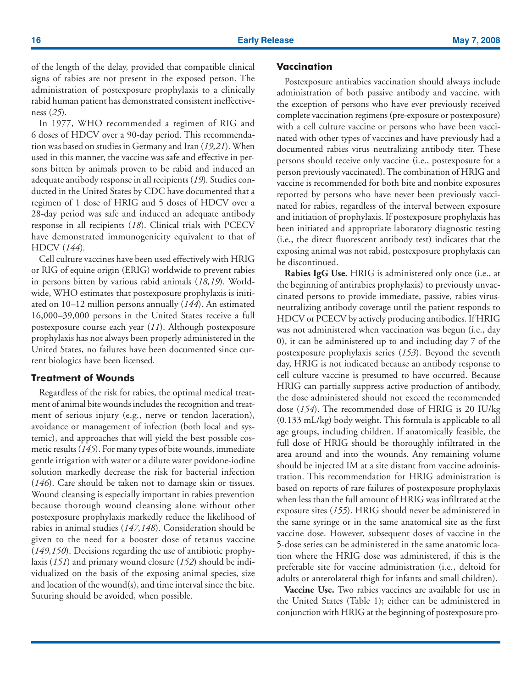of the length of the delay, provided that compatible clinical signs of rabies are not present in the exposed person. The administration of postexposure prophylaxis to a clinically rabid human patient has demonstrated consistent ineffectiveness (*25*).

In 1977, WHO recommended a regimen of RIG and 6 doses of HDCV over a 90-day period. This recommendation was based on studies in Germany and Iran (*19,21*). When used in this manner, the vaccine was safe and effective in persons bitten by animals proven to be rabid and induced an adequate antibody response in all recipients (*19*)*.* Studies conducted in the United States by CDC have documented that a regimen of 1 dose of HRIG and 5 doses of HDCV over a 28-day period was safe and induced an adequate antibody response in all recipients (*18*). Clinical trials with PCECV have demonstrated immunogenicity equivalent to that of HDCV (*144*)*.*

Cell culture vaccines have been used effectively with HRIG or RIG of equine origin (ERIG) worldwide to prevent rabies in persons bitten by various rabid animals (*18,19*). Worldwide, WHO estimates that postexposure prophylaxis is initiated on 10–12 million persons annually (*144*). An estimated 16,000–39,000 persons in the United States receive a full postexposure course each year (*11*). Although postexposure prophylaxis has not always been properly administered in the United States, no failures have been documented since current biologics have been licensed.

### **Treatment of Wounds**

Regardless of the risk for rabies, the optimal medical treatment of animal bite wounds includes the recognition and treatment of serious injury (e.g., nerve or tendon laceration), avoidance or management of infection (both local and systemic), and approaches that will yield the best possible cosmetic results (*145*). For many types of bite wounds, immediate gentle irrigation with water or a dilute water povidone-iodine solution markedly decrease the risk for bacterial infection (*146*). Care should be taken not to damage skin or tissues. Wound cleansing is especially important in rabies prevention because thorough wound cleansing alone without other postexposure prophylaxis markedly reduce the likelihood of rabies in animal studies (*147,148*). Consideration should be given to the need for a booster dose of tetanus vaccine (*149,150*). Decisions regarding the use of antibiotic prophylaxis (*151*) and primary wound closure (*152*) should be individualized on the basis of the exposing animal species, size and location of the wound(s), and time interval since the bite. Suturing should be avoided, when possible.

#### **Vaccination**

Postexposure antirabies vaccination should always include administration of both passive antibody and vaccine, with the exception of persons who have ever previously received complete vaccination regimens (pre-exposure or postexposure) with a cell culture vaccine or persons who have been vaccinated with other types of vaccines and have previously had a documented rabies virus neutralizing antibody titer. These persons should receive only vaccine (i.e., postexposure for a person previously vaccinated). The combination of HRIG and vaccine is recommended for both bite and nonbite exposures reported by persons who have never been previously vaccinated for rabies, regardless of the interval between exposure and initiation of prophylaxis. If postexposure prophylaxis has been initiated and appropriate laboratory diagnostic testing (i.e., the direct fluorescent antibody test) indicates that the exposing animal was not rabid, postexposure prophylaxis can be discontinued.

**Rabies IgG Use.** HRIG is administered only once (i.e., at the beginning of antirabies prophylaxis) to previously unvaccinated persons to provide immediate, passive, rabies virusneutralizing antibody coverage until the patient responds to HDCV or PCECV by actively producing antibodies. If HRIG was not administered when vaccination was begun (i.e., day 0), it can be administered up to and including day 7 of the postexposure prophylaxis series (*153*). Beyond the seventh day, HRIG is not indicated because an antibody response to cell culture vaccine is presumed to have occurred. Because HRIG can partially suppress active production of antibody, the dose administered should not exceed the recommended dose (*154*). The recommended dose of HRIG is 20 IU/kg (0.133 mL/kg) body weight. This formula is applicable to all age groups, including children. If anatomically feasible, the full dose of HRIG should be thoroughly infiltrated in the area around and into the wounds. Any remaining volume should be injected IM at a site distant from vaccine administration. This recommendation for HRIG administration is based on reports of rare failures of postexposure prophylaxis when less than the full amount of HRIG was infiltrated at the exposure sites (*155*). HRIG should never be administered in the same syringe or in the same anatomical site as the first vaccine dose. However, subsequent doses of vaccine in the 5-dose series can be administered in the same anatomic location where the HRIG dose was administered, if this is the preferable site for vaccine administration (i.e., deltoid for adults or anterolateral thigh for infants and small children).

**Vaccine Use.** Two rabies vaccines are available for use in the United States (Table 1); either can be administered in conjunction with HRIG at the beginning of postexposure pro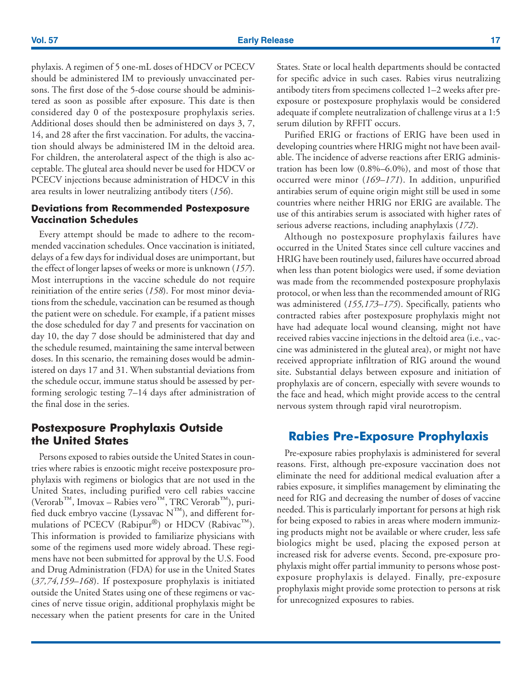<span id="page-18-0"></span>phylaxis. A regimen of 5 one-mL doses of HDCV or PCECV should be administered IM to previously unvaccinated persons. The first dose of the 5-dose course should be administered as soon as possible after exposure. This date is then considered day 0 of the postexposure prophylaxis series. Additional doses should then be administered on days 3, 7, 14, and 28 after the first vaccination. For adults, the vaccination should always be administered IM in the deltoid area. For children, the anterolateral aspect of the thigh is also acceptable. The gluteal area should never be used for HDCV or PCECV injections because administration of HDCV in this area results in lower neutralizing antibody titers (*156*).

#### **Deviations from Recommended Postexposure Vaccination Schedules**

Every attempt should be made to adhere to the recommended vaccination schedules. Once vaccination is initiated, delays of a few days for individual doses are unimportant, but the effect of longer lapses of weeks or more is unknown (*157*). Most interruptions in the vaccine schedule do not require reinitiation of the entire series (*158*). For most minor deviations from the schedule, vaccination can be resumed as though the patient were on schedule. For example, if a patient misses the dose scheduled for day 7 and presents for vaccination on day 10, the day 7 dose should be administered that day and the schedule resumed, maintaining the same interval between doses. In this scenario, the remaining doses would be administered on days 17 and 31. When substantial deviations from the schedule occur, immune status should be assessed by performing serologic testing 7–14 days after administration of the final dose in the series.

## **Postexposure Prophylaxis Outside the United States**

Persons exposed to rabies outside the United States in countries where rabies is enzootic might receive postexposure prophylaxis with regimens or biologics that are not used in the United States, including purified vero cell rabies vaccine (Verorab™, Imovax – Rabies vero™, TRC Verorab™), purified duck embryo vaccine (Lyssavac N™), and different formulations of PCECV (Rabipur®) or HDCV (Rabivac<sup>™)</sup>. This information is provided to familiarize physicians with some of the regimens used more widely abroad. These regimens have not been submitted for approval by the U.S. Food and Drug Administration (FDA) for use in the United States (*37,74,159–168*). If postexposure prophylaxis is initiated outside the United States using one of these regimens or vaccines of nerve tissue origin, additional prophylaxis might be necessary when the patient presents for care in the United States. State or local health departments should be contacted for specific advice in such cases. Rabies virus neutralizing antibody titers from specimens collected 1–2 weeks after preexposure or postexposure prophylaxis would be considered adequate if complete neutralization of challenge virus at a 1:5 serum dilution by RFFIT occurs.

Purified ERIG or fractions of ERIG have been used in developing countries where HRIG might not have been available. The incidence of adverse reactions after ERIG administration has been low (0.8%–6.0%), and most of those that occurred were minor (*169–171*). In addition, unpurified antirabies serum of equine origin might still be used in some countries where neither HRIG nor ERIG are available. The use of this antirabies serum is associated with higher rates of serious adverse reactions, including anaphylaxis (*172*).

Although no postexposure prophylaxis failures have occurred in the United States since cell culture vaccines and HRIG have been routinely used, failures have occurred abroad when less than potent biologics were used, if some deviation was made from the recommended postexposure prophylaxis protocol, or when less than the recommended amount of RIG was administered (*155,173–175*). Specifically, patients who contracted rabies after postexposure prophylaxis might not have had adequate local wound cleansing, might not have received rabies vaccine injections in the deltoid area (i.e., vaccine was administered in the gluteal area), or might not have received appropriate infiltration of RIG around the wound site. Substantial delays between exposure and initiation of prophylaxis are of concern, especially with severe wounds to the face and head, which might provide access to the central nervous system through rapid viral neurotropism.

### **Rabies Pre-Exposure Prophylaxis**

Pre-exposure rabies prophylaxis is administered for several reasons. First, although pre-exposure vaccination does not eliminate the need for additional medical evaluation after a rabies exposure, it simplifies management by eliminating the need for RIG and decreasing the number of doses of vaccine needed. This is particularly important for persons at high risk for being exposed to rabies in areas where modern immunizing products might not be available or where cruder, less safe biologics might be used, placing the exposed person at increased risk for adverse events. Second, pre-exposure prophylaxis might offer partial immunity to persons whose postexposure prophylaxis is delayed. Finally, pre-exposure prophylaxis might provide some protection to persons at risk for unrecognized exposures to rabies.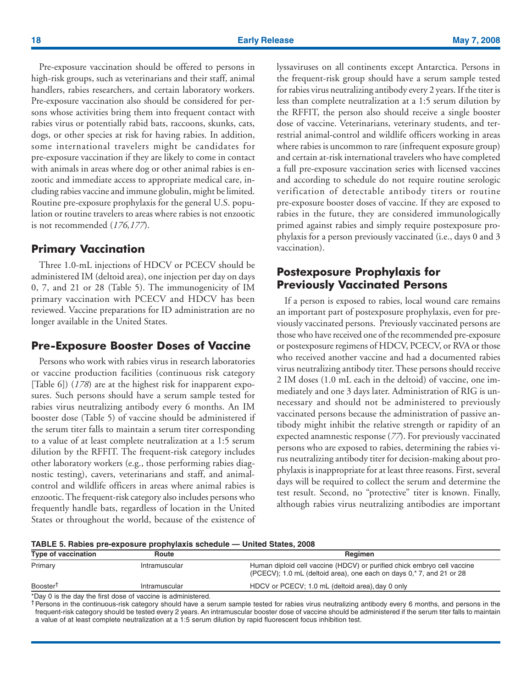<span id="page-19-0"></span>Pre-exposure vaccination should be offered to persons in high-risk groups, such as veterinarians and their staff, animal handlers, rabies researchers, and certain laboratory workers. Pre-exposure vaccination also should be considered for persons whose activities bring them into frequent contact with rabies virus or potentially rabid bats, raccoons, skunks, cats, dogs, or other species at risk for having rabies. In addition, some international travelers might be candidates for pre-exposure vaccination if they are likely to come in contact with animals in areas where dog or other animal rabies is enzootic and immediate access to appropriate medical care, including rabies vaccine and immune globulin, might be limited. Routine pre-exposure prophylaxis for the general U.S. population or routine travelers to areas where rabies is not enzootic is not recommended (*176,177*).

### **Primary Vaccination**

Three 1.0-mL injections of HDCV or PCECV should be administered IM (deltoid area), one injection per day on days 0, 7, and 21 or 28 (Table 5). The immunogenicity of IM primary vaccination with PCECV and HDCV has been reviewed. Vaccine preparations for ID administration are no longer available in the United States.

### **Pre-Exposure Booster Doses of Vaccine**

Persons who work with rabies virus in research laboratories or vaccine production facilities (continuous risk category [Table 6]) (*178*) are at the highest risk for inapparent exposures. Such persons should have a serum sample tested for rabies virus neutralizing antibody every 6 months. An IM booster dose (Table 5) of vaccine should be administered if the serum titer falls to maintain a serum titer corresponding to a value of at least complete neutralization at a 1:5 serum dilution by the RFFIT. The frequent-risk category includes other laboratory workers (e.g., those performing rabies diagnostic testing), cavers, veterinarians and staff, and animalcontrol and wildlife officers in areas where animal rabies is enzootic. The frequent-risk category also includes persons who frequently handle bats, regardless of location in the United States or throughout the world, because of the existence of

lyssaviruses on all continents except Antarctica. Persons in the frequent-risk group should have a serum sample tested for rabies virus neutralizing antibody every 2 years. If the titer is less than complete neutralization at a 1:5 serum dilution by the RFFIT, the person also should receive a single booster dose of vaccine. Veterinarians, veterinary students, and terrestrial animal-control and wildlife officers working in areas where rabies is uncommon to rare (infrequent exposure group) and certain at-risk international travelers who have completed a full pre-exposure vaccination series with licensed vaccines and according to schedule do not require routine serologic verification of detectable antibody titers or routine pre-exposure booster doses of vaccine. If they are exposed to rabies in the future, they are considered immunologically primed against rabies and simply require postexposure prophylaxis for a person previously vaccinated (i.e., days 0 and 3 vaccination).

### **Postexposure Prophylaxis for Previously Vaccinated Persons**

If a person is exposed to rabies, local wound care remains an important part of postexposure prophylaxis, even for previously vaccinated persons. Previously vaccinated persons are those who have received one of the recommended pre-exposure or postexposure regimens of HDCV, PCECV, or RVA or those who received another vaccine and had a documented rabies virus neutralizing antibody titer. These persons should receive 2 IM doses (1.0 mL each in the deltoid) of vaccine, one immediately and one 3 days later. Administration of RIG is unnecessary and should not be administered to previously vaccinated persons because the administration of passive antibody might inhibit the relative strength or rapidity of an expected anamnestic response (*77*). For previously vaccinated persons who are exposed to rabies, determining the rabies virus neutralizing antibody titer for decision-making about prophylaxis is inappropriate for at least three reasons. First, several days will be required to collect the serum and determine the test result. Second, no "protective" titer is known. Finally, although rabies virus neutralizing antibodies are important

**TABLE 5. Rabies pre-exposure prophylaxis schedule — United States, 2008**

| Type of vaccination  | Route                                                        | Reaimen                                                                                                                                                  |
|----------------------|--------------------------------------------------------------|----------------------------------------------------------------------------------------------------------------------------------------------------------|
| Primary              | Intramuscular                                                | Human diploid cell vaccine (HDCV) or purified chick embryo cell vaccine<br>(PCECV); 1.0 mL (deltoid area), one each on days $0,^{\star}$ 7, and 21 or 28 |
| Booster <sup>†</sup> | Intramuscular                                                | HDCV or PCECV; 1.0 mL (deltoid area), day 0 only                                                                                                         |
|                      | *Day 0 is the day the first dose of vaccine is administered. |                                                                                                                                                          |

†Persons in the continuous-risk category should have a serum sample tested for rabies virus neutralizing antibody every 6 months, and persons in the frequent-risk category should be tested every 2 years. An intramuscular booster dose of vaccine should be administered if the serum titer falls to maintain a value of at least complete neutralization at a 1:5 serum dilution by rapid fluorescent focus inhibition test.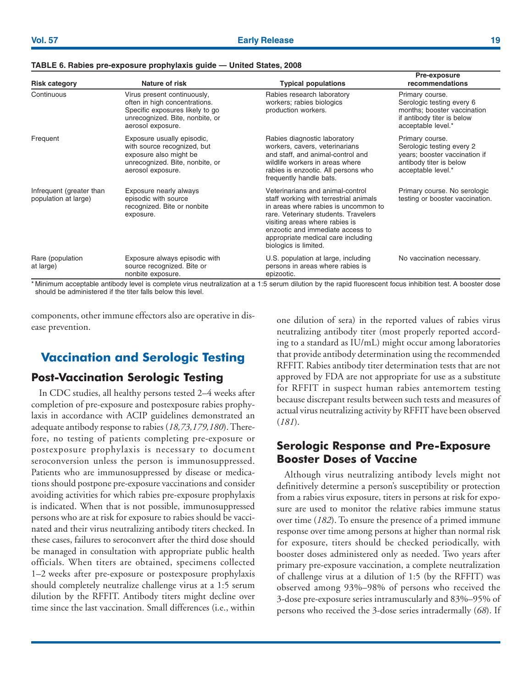| <b>Risk category</b>                             | Nature of risk                                                                                                                                          | <b>Typical populations</b>                                                                                                                                                                                                                                                                      | Pre-exposure<br>recommendations                                                                                                 |
|--------------------------------------------------|---------------------------------------------------------------------------------------------------------------------------------------------------------|-------------------------------------------------------------------------------------------------------------------------------------------------------------------------------------------------------------------------------------------------------------------------------------------------|---------------------------------------------------------------------------------------------------------------------------------|
| Continuous                                       | Virus present continuously,<br>often in high concentrations.<br>Specific exposures likely to go<br>unrecognized. Bite, nonbite, or<br>aerosol exposure. | Rabies research laboratory<br>workers; rabies biologics<br>production workers.                                                                                                                                                                                                                  | Primary course.<br>Serologic testing every 6<br>months; booster vaccination<br>if antibody titer is below<br>acceptable level.* |
| Frequent                                         | Exposure usually episodic,<br>with source recognized, but<br>exposure also might be<br>unrecognized. Bite, nonbite, or<br>aerosol exposure.             | Rabies diagnostic laboratory<br>workers, cavers, veterinarians<br>and staff, and animal-control and<br>wildlife workers in areas where<br>rabies is enzootic. All persons who<br>frequently handle bats.                                                                                        | Primary course.<br>Serologic testing every 2<br>years; booster vaccination if<br>antibody titer is below<br>acceptable level.*  |
| Infrequent (greater than<br>population at large) | Exposure nearly always<br>episodic with source<br>recognized. Bite or nonbite<br>exposure.                                                              | Veterinarians and animal-control<br>staff working with terrestrial animals<br>in areas where rabies is uncommon to<br>rare. Veterinary students. Travelers<br>visiting areas where rabies is<br>enzootic and immediate access to<br>appropriate medical care including<br>biologics is limited. | Primary course. No serologic<br>testing or booster vaccination.                                                                 |
| Rare (population<br>at large)                    | Exposure always episodic with<br>source recognized. Bite or<br>nonbite exposure.                                                                        | U.S. population at large, including<br>persons in areas where rabies is<br>epizootic.                                                                                                                                                                                                           | No vaccination necessary.                                                                                                       |

#### <span id="page-20-0"></span>**TABLE 6. Rabies pre-exposure prophylaxis guide — United States, 2008**

\* Minimum acceptable antibody level is complete virus neutralization at a 1:5 serum dilution by the rapid fluorescent focus inhibition test. A booster dose should be administered if the titer falls below this level.

components, other immune effectors also are operative in disease prevention.

## **Vaccination and Serologic Testing**

### **Post-Vaccination Serologic Testing**

In CDC studies, all healthy persons tested 2–4 weeks after completion of pre-exposure and postexposure rabies prophylaxis in accordance with ACIP guidelines demonstrated an adequate antibody response to rabies (*18,73,179,180*). Therefore, no testing of patients completing pre-exposure or postexposure prophylaxis is necessary to document seroconversion unless the person is immunosuppressed. Patients who are immunosuppressed by disease or medications should postpone pre-exposure vaccinations and consider avoiding activities for which rabies pre-exposure prophylaxis is indicated. When that is not possible, immunosuppressed persons who are at risk for exposure to rabies should be vaccinated and their virus neutralizing antibody titers checked. In these cases, failures to seroconvert after the third dose should be managed in consultation with appropriate public health officials. When titers are obtained, specimens collected 1–2 weeks after pre-exposure or postexposure prophylaxis should completely neutralize challenge virus at a 1:5 serum dilution by the RFFIT. Antibody titers might decline over time since the last vaccination. Small differences (i.e., within one dilution of sera) in the reported values of rabies virus neutralizing antibody titer (most properly reported according to a standard as IU/mL) might occur among laboratories that provide antibody determination using the recommended RFFIT. Rabies antibody titer determination tests that are not approved by FDA are not appropriate for use as a substitute for RFFIT in suspect human rabies antemortem testing because discrepant results between such tests and measures of actual virus neutralizing activity by RFFIT have been observed (*181*).

## **Serologic Response and Pre-Exposure Booster Doses of Vaccine**

Although virus neutralizing antibody levels might not definitively determine a person's susceptibility or protection from a rabies virus exposure, titers in persons at risk for exposure are used to monitor the relative rabies immune status over time (*182*). To ensure the presence of a primed immune response over time among persons at higher than normal risk for exposure, titers should be checked periodically, with booster doses administered only as needed. Two years after primary pre-exposure vaccination, a complete neutralization of challenge virus at a dilution of 1:5 (by the RFFIT) was observed among 93%–98% of persons who received the 3-dose pre-exposure series intramuscularly and 83%–95% of persons who received the 3-dose series intradermally (*68*). If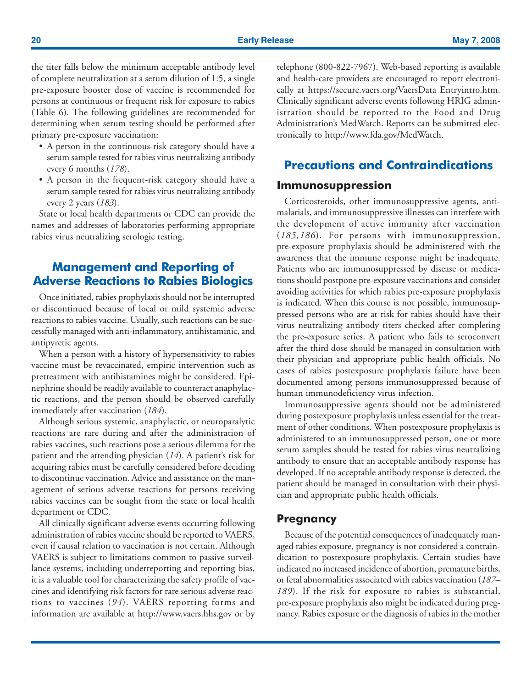<span id="page-21-0"></span>the titer falls below the minimum acceptable antibody level of complete neutralization at a serum dilution of 1:5, a single pre-exposure booster dose of vaccine is recommended for persons at continuous or frequent risk for exposure to rabies (Table 6). The following guidelines are recommended for determining when serum testing should be performed after primary pre-exposure vaccination:

- A person in the continuous-risk category should have a serum sample tested for rabies virus neutralizing antibody every 6 months (*178*).
- A person in the frequent-risk category should have a serum sample tested for rabies virus neutralizing antibody every 2 years (*183*).

State or local health departments or CDC can provide the names and addresses of laboratories performing appropriate rabies virus neutralizing serologic testing.

## **Management and Reporting of Adverse Reactions to Rabies Biologics**

Once initiated, rabies prophylaxis should not be interrupted or discontinued because of local or mild systemic adverse reactions to rabies vaccine. Usually, such reactions can be successfully managed with anti-inflammatory, antihistaminic, and antipyretic agents.

When a person with a history of hypersensitivity to rabies vaccine must be revaccinated, empiric intervention such as pretreatment with antihistamines might be considered. Epinephrine should be readily available to counteract anaphylactic reactions, and the person should be observed carefully immediately after vaccination (*184*).

Although serious systemic, anaphylactic, or neuroparalytic reactions are rare during and after the administration of rabies vaccines, such reactions pose a serious dilemma for the patient and the attending physician (*14*). A patient's risk for acquiring rabies must be carefully considered before deciding to discontinue vaccination. Advice and assistance on the management of serious adverse reactions for persons receiving rabies vaccines can be sought from the state or local health department or CDC.

All clinically significant adverse events occurring following administration of rabies vaccine should be reported to VAERS, even if causal relation to vaccination is not certain. Although VAERS is subject to limitations common to passive surveillance systems, including underreporting and reporting bias, it is a valuable tool for characterizing the safety profile of vaccines and identifying risk factors for rare serious adverse reactions to vaccines (*94*). VAERS reporting forms and information are available at<http://www.vaers.hhs.gov>or by telephone (800-822-7967). Web-based reporting is available and health-care providers are encouraged to report electronically at [https://secure.vaers.org/VaersData Entryintro.htm.](https://secure.vaers.org/VaersDataEntryintro.htm) Clinically significant adverse events following HRIG administration should be reported to the Food and Drug Administration's MedWatch. Reports can be submitted electronically to [http://www.fda.gov/MedWatch.](http://www.fda.gov/MedWatch)

## **Precautions and Contraindications**

#### **Immunosuppression**

Corticosteroids, other immunosuppressive agents, antimalarials, and immunosuppressive illnesses can interfere with the development of active immunity after vaccination (*185,186*). For persons with immunosuppression, pre-exposure prophylaxis should be administered with the awareness that the immune response might be inadequate. Patients who are immunosuppressed by disease or medications should postpone pre-exposure vaccinations and consider avoiding activities for which rabies pre-exposure prophylaxis is indicated. When this course is not possible, immunosuppressed persons who are at risk for rabies should have their virus neutralizing antibody titers checked after completing the pre-exposure series. A patient who fails to seroconvert after the third dose should be managed in consultation with their physician and appropriate public health officials. No cases of rabies postexposure prophylaxis failure have been documented among persons immunosuppressed because of human immunodeficiency virus infection.

Immunosuppressive agents should not be administered during postexposure prophylaxis unless essential for the treatment of other conditions. When postexposure prophylaxis is administered to an immunosuppressed person, one or more serum samples should be tested for rabies virus neutralizing antibody to ensure that an acceptable antibody response has developed. If no acceptable antibody response is detected, the patient should be managed in consultation with their physician and appropriate public health officials.

### **Pregnancy**

Because of the potential consequences of inadequately managed rabies exposure, pregnancy is not considered a contraindication to postexposure prophylaxis. Certain studies have indicated no increased incidence of abortion, premature births, or fetal abnormalities associated with rabies vaccination (*187– 189*). If the risk for exposure to rabies is substantial, pre-exposure prophylaxis also might be indicated during pregnancy. Rabies exposure or the diagnosis of rabies in the mother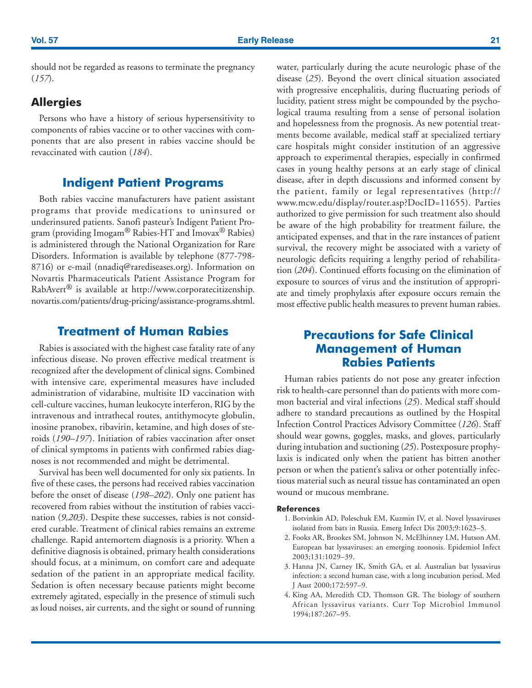<span id="page-22-0"></span>should not be regarded as reasons to terminate the pregnancy (*157*).

### **Allergies**

Persons who have a history of serious hypersensitivity to components of rabies vaccine or to other vaccines with components that are also present in rabies vaccine should be revaccinated with caution (*184*).

### **Indigent Patient Programs**

Both rabies vaccine manufacturers have patient assistant programs that provide medications to uninsured or underinsured patients. Sanofi pasteur's Indigent Patient Program (providing Imogam® Rabies-HT and Imovax® Rabies) is administered through the National Organization for Rare Disorders. Information is available by telephone (877-798- 8716) or e-mail (nnadiq@rarediseases.org). Information on Novartis Pharmaceuticals Patient Assistance Program for RabAvert® is available at [http://www.corporatecitizenship.](http://www.corporatecitizenship.novartis.com/patients/drug-pricing/assistance-programs.shtml) [novartis.com/patients/drug-pricing/assistance-programs.shtml.](http://www.corporatecitizenship.novartis.com/patients/drug-pricing/assistance-programs.shtml)

## **Treatment of Human Rabies**

Rabies is associated with the highest case fatality rate of any infectious disease. No proven effective medical treatment is recognized after the development of clinical signs. Combined with intensive care, experimental measures have included administration of vidarabine, multisite ID vaccination with cell-culture vaccines, human leukocyte interferon, RIG by the intravenous and intrathecal routes, antithymocyte globulin, inosine pranobex, ribavirin, ketamine, and high doses of steroids (*190–197*). Initiation of rabies vaccination after onset of clinical symptoms in patients with confirmed rabies diagnoses is not recommended and might be detrimental.

Survival has been well documented for only six patients. In five of these cases, the persons had received rabies vaccination before the onset of disease (*198–202*). Only one patient has recovered from rabies without the institution of rabies vaccination (*9,203*). Despite these successes, rabies is not considered curable. Treatment of clinical rabies remains an extreme challenge. Rapid antemortem diagnosis is a priority. When a definitive diagnosis is obtained, primary health considerations should focus, at a minimum, on comfort care and adequate sedation of the patient in an appropriate medical facility. Sedation is often necessary because patients might become extremely agitated, especially in the presence of stimuli such as loud noises, air currents, and the sight or sound of running water, particularly during the acute neurologic phase of the disease (*25*). Beyond the overt clinical situation associated with progressive encephalitis, during fluctuating periods of lucidity, patient stress might be compounded by the psychological trauma resulting from a sense of personal isolation and hopelessness from the prognosis. As new potential treatments become available, medical staff at specialized tertiary care hospitals might consider institution of an aggressive approach to experimental therapies, especially in confirmed cases in young healthy persons at an early stage of clinical disease, after in depth discussions and informed consent by the patient, family or legal representatives ([http://](http://www.mcw.edu/display/router.asp?DocID=11655) [www.mcw.edu/display/router.asp?DocID=11655\).](http://www.mcw.edu/display/router.asp?DocID=11655) Parties authorized to give permission for such treatment also should be aware of the high probability for treatment failure, the anticipated expenses, and that in the rare instances of patient survival, the recovery might be associated with a variety of neurologic deficits requiring a lengthy period of rehabilitation (*204*). Continued efforts focusing on the elimination of exposure to sources of virus and the institution of appropriate and timely prophylaxis after exposure occurs remain the most effective public health measures to prevent human rabies.

## **Precautions for Safe Clinical Management of Human Rabies Patients**

Human rabies patients do not pose any greater infection risk to health-care personnel than do patients with more common bacterial and viral infections (*25*). Medical staff should adhere to standard precautions as outlined by the Hospital Infection Control Practices Advisory Committee (*126*). Staff should wear gowns, goggles, masks, and gloves, particularly during intubation and suctioning (*25*). Postexposure prophylaxis is indicated only when the patient has bitten another person or when the patient's saliva or other potentially infectious material such as neural tissue has contaminated an open wound or mucous membrane.

#### **References**

- 1. Botvinkin AD, Poleschuk EM, Kuzmin IV, et al. Novel lyssaviruses isolated from bats in Russia. Emerg Infect Dis 2003;9:1623–5.
- 2. Fooks AR, Brookes SM, Johnson N, McElhinney LM, Hutson AM. European bat lyssaviruses: an emerging zoonosis. Epidemiol Infect 2003;131:1029–39.
- 3. Hanna JN, Carney IK, Smith GA, et al. Australian bat lyssavirus infection: a second human case, with a long incubation period. Med J Aust 2000;172:597–9.
- 4. King AA, Meredith CD, Thomson GR. The biology of southern African lyssavirus variants. Curr Top Microbiol Immunol 1994;187:267–95.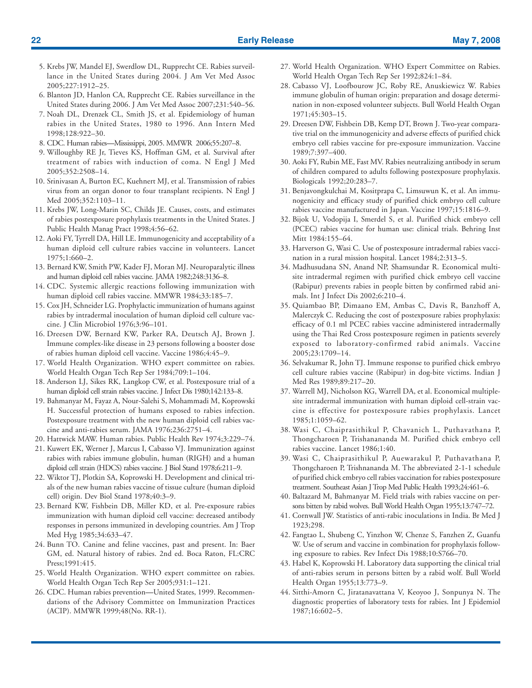- 5. Krebs JW, Mandel EJ, Swerdlow DL, Rupprecht CE. Rabies surveillance in the United States during 2004. J Am Vet Med Assoc 2005;227:1912–25.
- 6. Blanton JD, Hanlon CA, Rupprecht CE. Rabies surveillance in the United States during 2006. J Am Vet Med Assoc 2007;231:540–56.
- 7. Noah DL, Drenzek CL, Smith JS, et al. Epidemiology of human rabies in the United States, 1980 to 1996. Ann Intern Med 1998;128:922–30.
- 8. CDC. Human rabies**—**Mississippi, 2005. MMWR 2006;55:207–8.
- 9. Willoughby RE Jr, Tieves KS, Hoffman GM, et al. Survival after treatment of rabies with induction of coma. N Engl J Med 2005;352:2508–14.
- 10. Srinivasan A, Burton EC, Kuehnert MJ, et al. Transmission of rabies virus from an organ donor to four transplant recipients. N Engl J Med 2005;352:1103–11.
- 11. Krebs JW, Long-Marin SC, Childs JE. Causes, costs, and estimates of rabies postexposure prophylaxis treatments in the United States. J Public Health Manag Pract 1998;4:56–62.
- 12. Aoki FY, Tyrrell DA, Hill LE. Immunogenicity and acceptability of a human diploid cell culture rabies vaccine in volunteers. Lancet 1975;1:660–2.
- 13. Bernard KW, Smith PW, Kader FJ, Moran MJ. Neuroparalytic illness and human diploid cell rabies vaccine. JAMA 1982;248:3136–8.
- 14. CDC. Systemic allergic reactions following immunization with human diploid cell rabies vaccine. MMWR 1984;33:185–7.
- 15. Cox JH, Schneider LG. Prophylactic immunization of humans against rabies by intradermal inoculation of human diploid cell culture vaccine. J Clin Microbiol 1976;3:96–101.
- 16. Dreesen DW, Bernard KW, Parker RA, Deutsch AJ, Brown J. Immune complex-like disease in 23 persons following a booster dose of rabies human diploid cell vaccine. Vaccine 1986;4:45–9.
- 17. World Health Organization. WHO expert committee on rabies. World Health Organ Tech Rep Ser 1984;709:1–104.
- 18. Anderson LJ, Sikes RK, Langkop CW, et al. Postexposure trial of a human diploid cell strain rabies vaccine. J Infect Dis 1980;142:133–8.
- 19. Bahmanyar M, Fayaz A, Nour-Salehi S, Mohammadi M, Koprowski H. Successful protection of humans exposed to rabies infection. Postexposure treatment with the new human diploid cell rabies vaccine and anti-rabies serum. JAMA 1976;236:2751–4.
- 20. Hattwick MAW. Human rabies. Public Health Rev 1974;3:229–74.
- 21. Kuwert EK, Werner J, Marcus I, Cabasso VJ. Immunization against rabies with rabies immune globulin, human (RIGH) and a human diploid cell strain (HDCS) rabies vaccine. J Biol Stand 1978;6:211–9.
- 22. Wiktor TJ, Plotkin SA, Koprowski H. Development and clinical trials of the new human rabies vaccine of tissue culture (human diploid cell) origin. Dev Biol Stand 1978;40:3–9.
- 23. Bernard KW, Fishbein DB, Miller KD, et al. Pre-exposure rabies immunization with human diploid cell vaccine: decreased antibody responses in persons immunized in developing countries. Am J Trop Med Hyg 1985;34:633–47.
- 24. Bunn TO. Canine and feline vaccines, past and present. In: Baer GM, ed. Natural history of rabies. 2nd ed. Boca Raton, FL:CRC Press;1991:415.
- 25. World Health Organization. WHO expert committee on rabies. World Health Organ Tech Rep Ser 2005;931:1–121.
- 26. CDC. Human rabies prevention**—**United States, 1999. Recommendations of the Advisory Committee on Immunization Practices (ACIP). MMWR 1999;48(No. RR-1).
- 27. World Health Organization. WHO Expert Committee on Rabies. World Health Organ Tech Rep Ser 1992;824:1–84.
- 28. Cabasso VJ, Loofbourow JC, Roby RE, Anuskiewicz W. Rabies immune globulin of human origin: preparation and dosage determination in non-exposed volunteer subjects. Bull World Health Organ 1971;45:303–15.
- 29. Dreesen DW, Fishbein DB, Kemp DT, Brown J. Two-year comparative trial on the immunogenicity and adverse effects of purified chick embryo cell rabies vaccine for pre-exposure immunization. Vaccine 1989;7:397–400.
- 30. Aoki FY, Rubin ME, Fast MV. Rabies neutralizing antibody in serum of children compared to adults following postexposure prophylaxis. Biologicals 1992;20:283–7.
- 31. Benjavongkulchai M, Kositprapa C, Limsuwun K, et al. An immunogenicity and efficacy study of purified chick embryo cell culture rabies vaccine manufactured in Japan. Vaccine 1997;15:1816–9.
- 32. Bijok U, Vodopija I, Smerdel S, et al. Purified chick embryo cell (PCEC) rabies vaccine for human use: clinical trials. Behring Inst Mitt 1984:155–64.
- 33. Harverson G, Wasi C. Use of postexposure intradermal rabies vaccination in a rural mission hospital. Lancet 1984;2:313–5.
- 34. Madhusudana SN, Anand NP, Shamsundar R. Economical multisite intradermal regimen with purified chick embryo cell vaccine (Rabipur) prevents rabies in people bitten by confirmed rabid animals. Int J Infect Dis 2002;6:210–4.
- 35. Quiambao BP, Dimaano EM, Ambas C, Davis R, Banzhoff A, Malerczyk C. Reducing the cost of postexposure rabies prophylaxis: efficacy of 0.1 ml PCEC rabies vaccine administered intradermally using the Thai Red Cross postexposure regimen in patients severely exposed to laboratory-confirmed rabid animals. Vaccine 2005;23:1709–14.
- 36. Selvakumar R, John TJ. Immune response to purified chick embryo cell culture rabies vaccine (Rabipur) in dog-bite victims. Indian J Med Res 1989;89:217–20.
- 37. Warrell MJ, Nicholson KG, Warrell DA, et al. Economical multiplesite intradermal immunization with human diploid cell-strain vaccine is effective for postexposure rabies prophylaxis. Lancet 1985;1:1059–62.
- 38. Wasi C, Chaiprasithikul P, Chavanich L, Puthavathana P, Thongcharoen P, Trishanananda M. Purified chick embryo cell rabies vaccine. Lancet 1986;1:40.
- 39. Wasi C, Chaiprasithikul P, Auewarakul P, Puthavathana P, Thongcharoen P, Trishnananda M. The abbreviated 2-1-1 schedule of purified chick embryo cell rabies vaccination for rabies postexposure treatment. Southeast Asian J Trop Med Public Health 1993;24:461–6.
- 40. Baltazard M, Bahmanyar M. Field trials with rabies vaccine on persons bitten by rabid wolves. Bull World Health Organ 1955;13:747–72.
- 41. Cornwall JW. Statistics of anti-rabic inoculations in India. Br Med J 1923;298.
- 42. Fangtao L, Shubeng C, Yinzhon W, Chenze S, Fanzhen Z, Guanfu W. Use of serum and vaccine in combination for prophylaxis following exposure to rabies. Rev Infect Dis 1988;10:S766–70.
- 43. Habel K, Koprowski H. Laboratory data supporting the clinical trial of anti-rabies serum in persons bitten by a rabid wolf. Bull World Health Organ 1955;13:773–9.
- 44. Sitthi-Amorn C, Jiratanavattana V, Keoyoo J, Sonpunya N. The diagnostic properties of laboratory tests for rabies. Int J Epidemiol 1987;16:602–5.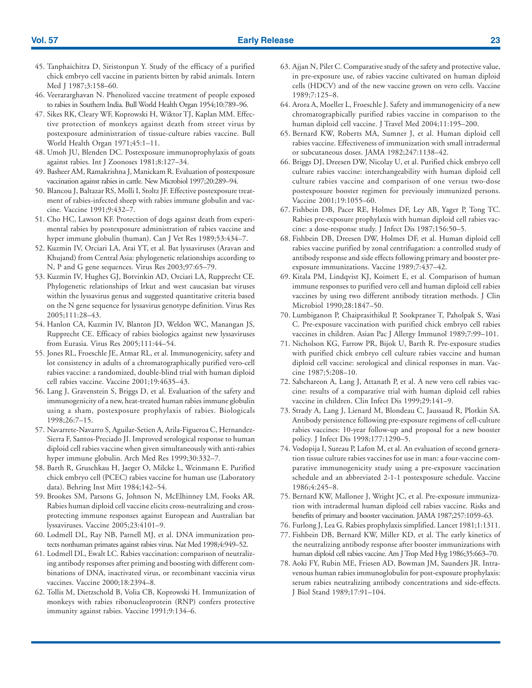- 45. Tanphaichitra D, Siristonpun Y. Study of the efficacy of a purified chick embryo cell vaccine in patients bitten by rabid animals. Intern Med J 1987;3:158–60.
- 46. Veerararghavan N. Phenolized vaccine treatment of people exposed to rabies in Southern India. Bull World Health Organ 1954;10:789–96.
- 47. Sikes RK, Cleary WF, Koprowski H, Wiktor TJ, Kaplan MM. Effective protection of monkeys against death from street virus by postexposure administration of tissue-culture rabies vaccine. Bull World Health Organ 1971;45:1–11.
- 48. Umoh JU, Blenden DC. Postexposure immunoprophylaxis of goats against rabies. Int J Zoonoses 1981;8:127–34.
- 49. Basheer AM, Ramakrishna J, Manickam R. Evaluation of postexposure vaccination against rabies in cattle. New Microbiol 1997;20:289–94.
- 50. Blancou J, Baltazar RS, Molli I, Stoltz JF. Effective postexposure treatment of rabies-infected sheep with rabies immune globulin and vaccine. Vaccine 1991;9:432–7.
- 51. Cho HC, Lawson KF. Protection of dogs against death from experimental rabies by postexposure administration of rabies vaccine and hyper immune globulin (human). Can J Vet Res 1989;53:434–7.
- 52. Kuzmin IV, Orciari LA, Arai YT, et al. Bat lyssaviruses (Aravan and Khujand) from Central Asia: phylogenetic relationships according to N, P and G gene sequences. Virus Res 2003;97:65–79.
- 53. Kuzmin IV, Hughes GJ, Botvinkin AD, Orciari LA, Rupprecht CE. Phylogenetic relationships of Irkut and west caucasian bat viruses within the lyssavirus genus and suggested quantitative criteria based on the N gene sequence for lyssavirus genotype definition. Virus Res 2005;111:28–43.
- 54. Hanlon CA, Kuzmin IV, Blanton JD, Weldon WC, Manangan JS, Rupprecht CE. Efficacy of rabies biologics against new lyssaviruses from Eurasia. Virus Res 2005;111:44–54.
- 55. Jones RL, Froeschle JE, Atmar RL, et al. Immunogenicity, safety and lot consistency in adults of a chromatographically purified vero-cell rabies vaccine: a randomized, double-blind trial with human diploid cell rabies vaccine. Vaccine 2001;19:4635–43.
- 56. Lang J, Gravenstein S, Briggs D, et al. Evaluation of the safety and immunogenicity of a new, heat-treated human rabies immune globulin using a sham, postexposure prophylaxis of rabies. Biologicals 1998;26:7–15.
- 57. Navarrete-Navarro S, Aguilar-Setien A, Arila-Figueroa C, Hernandez-Sierra F, Santos-Preciado JI. Improved serological response to human diploid cell rabies vaccine when given simultaneously with anti-rabies hyper immune globulin. Arch Med Res 1999;30:332–7.
- 58. Barth R, Gruschkau H, Jaeger O, Milcke L, Weinmann E. Purified chick embryo cell (PCEC) rabies vaccine for human use (Laboratory data). Behring Inst Mitt 1984;142–54.
- 59. Brookes SM, Parsons G, Johnson N, McElhinney LM, Fooks AR. Rabies human diploid cell vaccine elicits cross-neutralizing and crossprotecting immune responses against European and Australian bat lyssaviruses. Vaccine 2005;23:4101–9.
- 60. Lodmell DL, Ray NB, Parnell MJ, et al. DNA immunization protects nonhuman primates against rabies virus. Nat Med 1998;4:949–52.
- 61. Lodmell DL, Ewalt LC. Rabies vaccination: comparison of neutralizing antibody responses after priming and boosting with different combinations of DNA, inactivated virus, or recombinant vaccinia virus vaccines. Vaccine 2000;18:2394–8.
- 62. Tollis M, Dietzschold B, Volia CB, Koprowski H. Immunization of monkeys with rabies ribonucleoprotein (RNP) confers protective immunity against rabies. Vaccine 1991;9:134–6.
- 63. Ajjan N, Pilet C. Comparative study of the safety and protective value, in pre-exposure use, of rabies vaccine cultivated on human diploid cells (HDCV) and of the new vaccine grown on vero cells. Vaccine 1989;7:125–8.
- 64. Arora A, Moeller L, Froeschle J. Safety and immunogenicity of a new chromatographically purified rabies vaccine in comparison to the human diploid cell vaccine. J Travel Med 2004;11:195–200.
- 65. Bernard KW, Roberts MA, Sumner J, et al. Human diploid cell rabies vaccine. Effectiveness of immunization with small intradermal or subcutaneous doses. JAMA 1982;247:1138–42.
- 66. Briggs DJ, Dreesen DW, Nicolay U, et al. Purified chick embryo cell culture rabies vaccine: interchangeability with human diploid cell culture rabies vaccine and comparison of one versus two-dose postexposure booster regimen for previously immunized persons. Vaccine 2001;19:1055–60.
- 67. Fishbein DB, Pacer RE, Holmes DF, Ley AB, Yager P, Tong TC. Rabies pre-exposure prophylaxis with human diploid cell rabies vaccine: a dose-response study. J Infect Dis 1987;156:50–5.
- 68. Fishbein DB, Dreesen DW, Holmes DF, et al. Human diploid cell rabies vaccine purified by zonal centrifugation: a controlled study of antibody response and side effects following primary and booster preexposure immunizations. Vaccine 1989;7:437–42.
- 69. Kitala PM, Lindqvist KJ, Koimett E, et al. Comparison of human immune responses to purified vero cell and human diploid cell rabies vaccines by using two different antibody titration methods. J Clin Microbiol 1990;28:1847–50.
- 70. Lumbiganon P, Chaiprasithikul P, Sookpranee T, Paholpak S, Wasi C. Pre-exposure vaccination with purified chick embryo cell rabies vaccines in children. Asian Pac J Allergy Immunol 1989;7:99–101.
- 71. Nicholson KG, Farrow PR, Bijok U, Barth R. Pre-exposure studies with purified chick embryo cell culture rabies vaccine and human diploid cell vaccine: serological and clinical responses in man. Vaccine 1987;5:208–10.
- 72. Sabchareon A, Lang J, Attanath P, et al. A new vero cell rabies vaccine: results of a comparative trial with human diploid cell rabies vaccine in children. Clin Infect Dis 1999;29:141–9.
- 73. Strady A, Lang J, Lienard M, Blondeau C, Jaussaud R, Plotkin SA. Antibody persistence following pre-exposure regimens of cell-culture rabies vaccines: 10-year follow-up and proposal for a new booster policy. J Infect Dis 1998;177:1290–5.
- 74. Vodopija I, Sureau P, Lafon M, et al. An evaluation of second generation tissue culture rabies vaccines for use in man: a four-vaccine comparative immunogenicity study using a pre-exposure vaccination schedule and an abbreviated 2-1-1 postexposure schedule. Vaccine 1986;4:245–8.
- 75. Bernard KW, Mallonee J, Wright JC, et al. Pre-exposure immunization with intradermal human diploid cell rabies vaccine. Risks and benefits of primary and booster vaccination. JAMA 1987;257:1059–63.
- 76. Furlong J, Lea G. Rabies prophylaxis simplified. Lancet 1981;1:1311.
- 77. Fishbein DB, Bernard KW, Miller KD, et al. The early kinetics of the neutralizing antibody response after booster immunizations with human diploid cell rabies vaccine. Am J Trop Med Hyg 1986;35:663-70.
- 78. Aoki FY, Rubin ME, Friesen AD, Bowman JM, Saunders JR. Intravenous human rabies immunoglobulin for post-exposure prophylaxis: serum rabies neutralizing antibody concentrations and side-effects. J Biol Stand 1989;17:91–104.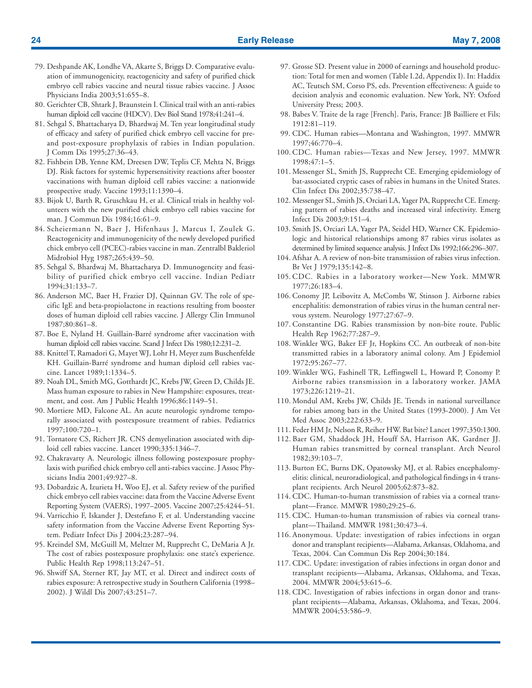- 79. Deshpande AK, Londhe VA, Akarte S, Briggs D. Comparative evaluation of immunogenicity, reactogenicity and safety of purified chick embryo cell rabies vaccine and neural tissue rabies vaccine. J Assoc Physicians India 2003;51:655–8.
- 80. Gerichter CB, Shtark J, Braunstein I. Clinical trail with an anti-rabies human diploid cell vaccine (HDCV). Dev Biol Stand 1978;41:241–4.
- 81. Sehgal S, Bhattacharya D, Bhardwaj M. Ten year longitudinal study of efficacy and safety of purified chick embryo cell vaccine for preand post-exposure prophylaxis of rabies in Indian population. J Comm Dis 1995;27:36–43.
- 82. Fishbein DB, Yenne KM, Dreesen DW, Teplis CF, Mehta N, Briggs DJ. Risk factors for systemic hypersensitivity reactions after booster vaccinations with human diploid cell rabies vaccine: a nationwide prospective study. Vaccine 1993;11:1390–4.
- 83. Bijok U, Barth R, Gruschkau H, et al. Clinical trials in healthy volunteers with the new purified chick embryo cell rabies vaccine for man. J Commun Dis 1984;16:61–9.
- 84. Scheiermann N, Baer J, Hifenhaus J, Marcus I, Zoulek G. Reactogenicity and immunogenicity of the newly developed purified chick embryo cell (PCEC)-rabies vaccine in man. Zentralbl Bakleriol Midrobiol Hyg 1987;265:439–50.
- 85. Sehgal S, Bhardwaj M, Bhattacharya D. Immunogencity and feasibility of purified chick embryo cell vaccine. Indian Pediatr 1994;31:133–7.
- 86. Anderson MC, Baer H, Frazier DJ, Quinnan GV. The role of specific IgE and beta-propiolactone in reactions resulting from booster doses of human diploid cell rabies vaccine. J Allergy Clin Immunol 1987;80:861–8.
- 87. Boe E, Nyland H. Guillain-Barré syndrome after vaccination with human diploid cell rabies vaccine. Scand J Infect Dis 1980;12:231–2.
- 88. Knittel T, Ramadori G, Mayet WJ, Lohr H, Meyer zum Buschenfelde KH. Guillain-Barré syndrome and human diploid cell rabies vaccine. Lancet 1989;1:1334–5.
- 89. Noah DL, Smith MG, Gotthardt JC, Krebs JW, Green D, Childs JE. Mass human exposure to rabies in New Hampshire: exposures, treatment, and cost. Am J Public Health 1996;86:1149–51.
- 90. Mortiere MD, Falcone AL. An acute neurologic syndrome temporally associated with postexposure treatment of rabies. Pediatrics 1997;100:720–1.
- 91. Tornatore CS, Richert JR. CNS demyelination associated with diploid cell rabies vaccine. Lancet 1990;335:1346–7.
- 92. Chakravarty A. Neurologic illness following postexposure prophylaxis with purified chick embryo cell anti-rabies vaccine. J Assoc Physicians India 2001;49:927–8.
- 93. Dobardzic A, Izurieta H, Woo EJ, et al. Safety review of the purified chick embryo cell rabies vaccine: data from the Vaccine Adverse Event Reporting System (VAERS), 1997–2005. Vaccine 2007;25:4244–51.
- 94. Varricchio F, Iskander J, Destefano F, et al. Understanding vaccine safety information from the Vaccine Adverse Event Reporting System. Pediatr Infect Dis J 2004;23:287–94.
- 95. Kreindel SM, McGuill M, Meltzer M, Rupprecht C, DeMaria A Jr. The cost of rabies postexposure prophylaxis: one state's experience. Public Health Rep 1998;113:247–51.
- 96. Shwiff SA, Sterner RT, Jay MT, et al. Direct and indirect costs of rabies exposure: A retrospective study in Southern California (1998– 2002). J Wildl Dis 2007;43:251–7.
- 97. Grosse SD. Present value in 2000 of earnings and household production: Total for men and women (Table I.2d, Appendix I). In: Haddix AC, Teutsch SM, Corso PS, eds. Prevention effectiveness: A guide to decision analysis and economic evaluation. New York, NY: Oxford University Press; 2003.
- 98. Babes V. Traite de la rage [French]. Paris, France: JB Bailliere et Fils; 1912:81–119.
- 99. CDC. Human rabies—Montana and Washington, 1997. MMWR 1997;46:770–4.
- 100. CDC. Human rabies—Texas and New Jersey, 1997. MMWR 1998;47:1–5.
- 101. Messenger SL, Smith JS, Rupprecht CE. Emerging epidemiology of bat-associated cryptic cases of rabies in humans in the United States. Clin Infect Dis 2002;35:738–47.
- 102. Messenger SL, Smith JS, Orciari LA, Yager PA, Rupprecht CE. Emerging pattern of rabies deaths and increased viral infectivity. Emerg Infect Dis 2003;9:151–4.
- 103. Smith JS, Orciari LA, Yager PA, Seidel HD, Warner CK. Epidemiologic and historical relationships among 87 rabies virus isolates as determined by limited sequence analysis. J Infect Dis 1992;166:296–307.
- 104. Afshar A. A review of non-bite transmission of rabies virus infection. Br Vet J 1979;135:142–8.
- 105. CDC. Rabies in a laboratory worker—New York. MMWR 1977;26:183–4.
- 106. Conomy JP, Leibovitz A, McCombs W, Stinson J. Airborne rabies encephalitis: demonstration of rabies virus in the human central nervous system. Neurology 1977;27:67–9.
- 107. Constantine DG. Rabies transmission by non-bite route. Public Health Rep 1962;77:287–9.
- 108. Winkler WG, Baker EF Jr, Hopkins CC. An outbreak of non-bite transmitted rabies in a laboratory animal colony. Am J Epidemiol 1972;95:267–77.
- 109. Winkler WG, Fashinell TR, Leffingwell L, Howard P, Conomy P. Airborne rabies transmission in a laboratory worker. JAMA 1973;226:1219–21.
- 110. Mondul AM, Krebs JW, Childs JE. Trends in national surveillance for rabies among bats in the United States (1993-2000). J Am Vet Med Assoc 2003;222:633–9.
- 111. Feder HM Jr, Nelson R, Reiher HW. Bat bite? Lancet 1997;350:1300.
- 112. Baer GM, Shaddock JH, Houff SA, Harrison AK, Gardner JJ. Human rabies transmitted by corneal transplant. Arch Neurol 1982;39:103–7.
- 113. Burton EC, Burns DK, Opatowsky MJ, et al. Rabies encephalomyelitis: clinical, neuroradiological, and pathological findings in 4 transplant recipients. Arch Neurol 2005;62:873–82.
- 114. CDC. Human-to-human transmission of rabies via a corneal transplant—France. MMWR 1980;29:25–6.
- 115. CDC. Human-to-human transmission of rabies via corneal transplant—Thailand. MMWR 1981;30:473–4.
- 116. Anonymous. Update: investigation of rabies infections in organ donor and transplant recipients—Alabama, Arkansas, Oklahoma, and Texas, 2004. Can Commun Dis Rep 2004;30:184.
- 117. CDC. Update: investigation of rabies infections in organ donor and transplant recipients—Alabama, Arkansas, Oklahoma, and Texas, 2004. MMWR 2004;53:615–6.
- 118. CDC. Investigation of rabies infections in organ donor and transplant recipients—Alabama, Arkansas, Oklahoma, and Texas, 2004. MMWR 2004;53:586–9.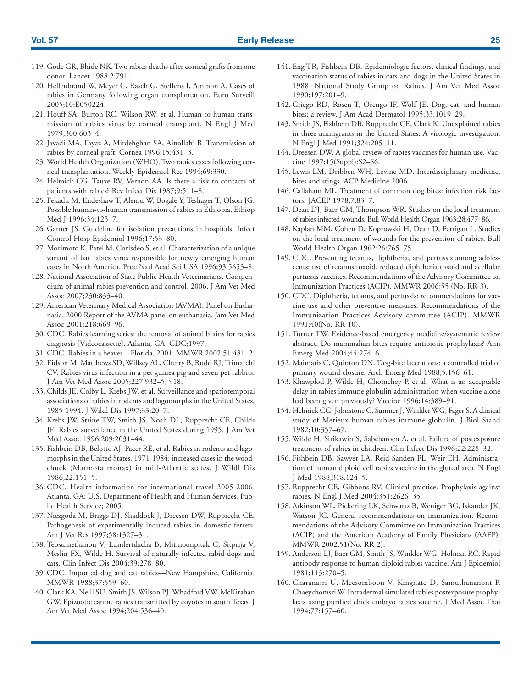- 119. Gode GR, Bhide NK. Two rabies deaths after corneal grafts from one donor. Lancet 1988;2:791.
- 120. Hellenbrand W, Meyer C, Rasch G, Steffens I, Ammon A. Cases of rabies in Germany following organ transplantation. Euro Surveill 2005;10:E050224.
- 121. Houff SA, Burton RC, Wilson RW, et al. Human-to-human transmission of rabies virus by corneal transplant. N Engl J Med 1979;300:603–4.
- 122. Javadi MA, Fayaz A, Mirdehghan SA, Ainollahi B. Transmission of rabies by corneal graft. Cornea 1996;15:431–3.
- 123. World Health Organization (WHO). Two rabies cases following corneal transplantation. Weekly Epidemiol Rec 1994;69:330.
- 124. Helmick CG, Tauxe RV, Vernon AA. Is there a risk to contacts of patients with rabies? Rev Infect Dis 1987;9:511–8.
- 125. Fekadu M, Endeshaw T, Alemu W, Bogale Y, Teshager T, Olson JG. Possible human-to-human transmission of rabies in Ethiopia. Ethiop Med J 1996;34:123-7.
- 126. Garner JS. Guideline for isolation precautions in hospitals. Infect Control Hosp Epidemiol 1996;17:53–80.
- 127. Morimoto K, Patel M, Corisdeo S, et al. Characterization of a unique variant of bat rabies virus responsible for newly emerging human cases in North America. Proc Natl Acad Sci USA 1996;93:5653–8.
- 128. National Association of State Public Health Veterinarians. Compendium of animal rabies prevention and control, 2006. J Am Vet Med Assoc 2007;230:833–40.
- 129. American Veterinary Medical Association (AVMA). Panel on Euthanasia. 2000 Report of the AVMA panel on euthanasia. Jam Vet Med Assoc 2001;218:669–96.
- 130. CDC. Rabies learning series: the removal of animal brains for rabies diagnosis [Videocassette]. Atlanta, GA: CDC;1997.
- 131. CDC. Rabies in a beaver—Florida, 2001. MMWR 2002;51:481–2.
- 132. Eidson M, Matthews SD, Willsey AL, Cherry B, Rudd RJ, Trimarchi CV. Rabies virus infection in a pet guinea pig and seven pet rabbits. J Am Vet Med Assoc 2005;227:932–5, 918.
- 133. Childs JE, Colby L, Krebs JW, et al. Surveillance and spatiotemporal associations of rabies in rodents and lagomorphs in the United States, 1985-1994. J Wildl Dis 1997;33:20–7.
- 134. Krebs JW, Strine TW, Smith JS, Noah DL, Rupprecht CE, Childs JE. Rabies surveillance in the United States during 1995. J Am Vet Med Assoc 1996;209:2031–44.
- 135. Fishbein DB, Belotto AJ, Pacer RE, et al. Rabies in rodents and lagomorphs in the United States, 1971-1984: increased cases in the woodchuck (Marmota monax) in mid-Atlantic states. J Wildl Dis 1986;22:151–5.
- 136. CDC. Health information for international travel 2005-2006. Atlanta, GA: U.S. Department of Health and Human Services, Public Health Service; 2005.
- 137. Niezgoda M, Briggs DJ, Shaddock J, Dreesen DW, Rupprecht CE. Pathogenesis of experimentally induced rabies in domestic ferrets. Am J Vet Res 1997;58:1327–31.
- 138. Tepsumethanon V, Lumlertdacha B, Mitmoonpitak C, Sitprija V, Meslin FX, Wilde H. Survival of naturally infected rabid dogs and cats. Clin Infect Dis 2004;39:278–80.
- 139. CDC. Imported dog and cat rabies—New Hampshire, California. MMWR 1988;37:559–60.
- 140. Clark KA, Neill SU, Smith JS, Wilson PJ, Whadford VW, McKirahan GW. Epizootic canine rabies transmitted by coyotes in south Texas. J Am Vet Med Assoc 1994;204:536–40.
- 141. Eng TR, Fishbein DB. Epidemiologic factors, clinical findings, and vaccination status of rabies in cats and dogs in the United States in 1988. National Study Group on Rabies. J Am Vet Med Assoc 1990;197:201–9.
- 142. Griego RD, Rosen T, Orengo IF, Wolf JE. Dog, cat, and human bites: a review. J Am Acad Dermatol 1995;33:1019–29.
- 143. Smith JS, Fishbein DB, Rupprecht CE, Clark K. Unexplained rabies in three immigrants in the United States. A virologic investigation. N Engl J Med 1991;324:205–11.
- 144. Dreesen DW. A global review of rabies vaccines for human use. Vaccine 1997;15(Suppl):S2–S6.
- 145. Lewis LM, Dribben WH, Levine MD. Interdisciplinary medicine, bites and stings. ACP Medicine 2006.
- 146. Callaham ML. Treatment of common dog bites: infection risk factors. JACEP 1978;7:83–7.
- 147. Dean DJ, Baer GM, Thompson WR. Studies on the local treatment of rabies-infected wounds. Bull World Health Organ 1963;28:477–86.
- 148. Kaplan MM, Cohen D, Koprowski H, Dean D, Ferrigan L. Studies on the local treatment of wounds for the prevention of rabies. Bull World Health Organ 1962;26:765–75.
- 149. CDC. Preventing tetanus, diphtheria, and pertussis among adolescents: use of tetanus toxoid, reduced diphtheria toxoid and acellular pertussis vaccines. Recommendations of the Advisory Committee on Immunization Practices (ACIP). MMWR 2006;55 (No. RR-3).
- 150. CDC. Diphtheria, tetanus, and pertussis: recommendations for vaccine use and other preventive measures. Recommendations of the Immunization Practices Advisory committee (ACIP). MMWR 1991;40(No. RR-10).
- 151. Turner TW. Evidence-based emergency medicine/systematic review abstract. Do mammalian bites require antibiotic prophylaxis? Ann Emerg Med 2004;44:274–6.
- 152. Maimaris C, Quinton DN. Dog-bite lacerations: a controlled trial of primary wound closure. Arch Emerg Med 1988;5:156–61.
- 153. Khawplod P, Wilde H, Chomchey P, et al. What is an acceptable delay in rabies immune globulin administration when vaccine alone had been given previously? Vaccine 1996;14:389–91.
- 154. Helmick CG, Johnstone C, Sumner J, Winkler WG, Fager S. A clinical study of Merieux human rabies immune globulin. J Biol Stand 1982;10:357–67.
- 155. Wilde H, Sirikawin S, Sabcharoen A, et al. Failure of postexposure treatment of rabies in children. Clin Infect Dis 1996;22:228–32.
- 156. Fishbein DB, Sawyer LA, Reid-Sanden FL, Weir EH. Administration of human diploid cell rabies vaccine in the gluteal area. N Engl J Med 1988;318:124–5.
- 157. Rupprecht CE, Gibbons RV. Clinical practice. Prophylaxis against rabies. N Engl J Med 2004;351:2626–35.
- 158. Atkinson WL, Pickering LK, Schwartz B, Weniger BG, Iskander JK, Watson JC. General recommendations on immunization. Recommendations of the Advisory Committee on Immunization Practices (ACIP) and the American Academy of Family Physicians (AAFP). MMWR 2002;51(No. RR-2).
- 159. Anderson LJ, Baer GM, Smith JS, Winkler WG, Holman RC. Rapid antibody response to human diploid rabies vaccine. Am J Epidemiol 1981;113:270–5.
- 160. Charanasri U, Meesomboon V, Kingnate D, Samuthananont P, Chaeychomsri W. Intradermal simulated rabies postexposure prophylaxis using purified chick embryo rabies vaccine. J Med Assoc Thai 1994;77:157–60.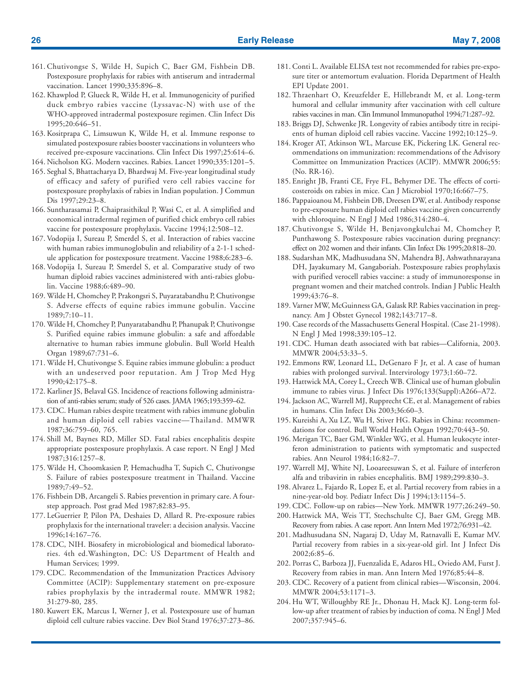- 161. Chutivongse S, Wilde H, Supich C, Baer GM, Fishbein DB. Postexposure prophylaxis for rabies with antiserum and intradermal vaccination. Lancet 1990;335:896–8.
- 162. Khawplod P, Glueck R, Wilde H, et al. Immunogenicity of purified duck embryo rabies vaccine (Lyssavac-N) with use of the WHO-approved intradermal postexposure regimen. Clin Infect Dis 1995;20:646–51.
- 163. Kositprapa C, Limsuwun K, Wilde H, et al. Immune response to simulated postexposure rabies booster vaccinations in volunteers who received pre-exposure vaccinations. Clin Infect Dis 1997;25:614–6.
- 164. Nicholson KG. Modern vaccines. Rabies. Lancet 1990;335:1201–5.
- 165. Seghal S, Bhattacharya D, Bhardwaj M. Five-year longitudinal study of efficacy and safety of purified vero cell rabies vaccine for postexposure prophylaxis of rabies in Indian population. J Commun Dis 1997;29:23–8.
- 166. Suntharasamai P, Chaiprasithikul P, Wasi C, et al. A simplified and economical intradermal regimen of purified chick embryo cell rabies vaccine for postexposure prophylaxis. Vaccine 1994;12:508–12.
- 167. Vodopija I, Sureau P, Smerdel S, et al. Interaction of rabies vaccine with human rabies immunoglobulin and reliability of a 2-1-1 schedule application for postexposure treatment. Vaccine 1988;6:283–6.
- 168. Vodopija I, Sureau P, Smerdel S, et al. Comparative study of two human diploid rabies vaccines administered with anti-rabies globulin. Vaccine 1988;6:489–90.
- 169. Wilde H, Chomchey P, Prakongsri S, Puyaratabandhu P, Chutivongse S. Adverse effects of equine rabies immune gobulin. Vaccine 1989;7:10–11.
- 170. Wilde H, Chomchey P, Punyaratabandhu P, Phanupak P, Chutivongse S. Purified equine rabies immune globulin: a safe and affordable alternative to human rabies immune globulin. Bull World Health Organ 1989;67:731–6.
- 171. Wilde H, Chutivongse S. Equine rabies immune globulin: a product with an undeserved poor reputation. Am J Trop Med Hyg 1990;42:175–8.
- 172. Karliner JS, Belaval GS. Incidence of reactions following administration of anti-rabies serum; study of 526 cases. JAMA 1965;193:359–62.
- 173. CDC. Human rabies despite treatment with rabies immune globulin and human diploid cell rabies vaccine—Thailand. MMWR 1987;36:759–60, 765.
- 174. Shill M, Baynes RD, Miller SD. Fatal rabies encephalitis despite appropriate postexposure prophylaxis. A case report. N Engl J Med 1987;316:1257–8.
- 175. Wilde H, Choomkasien P, Hemachudha T, Supich C, Chutivongse S. Failure of rabies postexposure treatment in Thailand. Vaccine 1989;7:49–52.
- 176. Fishbein DB, Arcangeli S. Rabies prevention in primary care. A fourstep approach. Post grad Med 1987;82:83–95.
- 177. LeGuerrier P, Pilon PA, Deshaies D, Allard R. Pre-exposure rabies prophylaxis for the international traveler: a decision analysis. Vaccine 1996;14:167–76.
- 178. CDC, NIH. Biosafety in microbiological and biomedical laboratories. 4th ed.Washington, DC: US Department of Health and Human Services; 1999.
- 179. CDC. Recommendation of the Immunization Practices Advisory Committee (ACIP): Supplementary statement on pre-exposure rabies prophylaxis by the intradermal route. MMWR 1982; 31:279-80, 285.
- 180. Kuwert EK, Marcus I, Werner J, et al. Postexposure use of human diploid cell culture rabies vaccine. Dev Biol Stand 1976;37:273–86.
- 181. Conti L. Available ELISA test not recommended for rabies pre-exposure titer or antemortum evaluation. Florida Department of Health EPI Update 2001.
- 182. Thraenhart O, Kreuzfelder E, Hillebrandt M, et al. Long-term humoral and cellular immunity after vaccination with cell culture rabies vaccines in man. Clin Immunol Immunopathol 1994;71:287–92.
- 183. Briggs DJ, Schwenke JR. Longevity of rabies antibody titre in recipients of human diploid cell rabies vaccine. Vaccine 1992;10:125–9.
- 184. Kroger AT, Atkinson WL, Marcuse EK, Pickering LK. General recommendations on immunization: recommendations of the Advisory Committee on Immunization Practices (ACIP). MMWR 2006;55: (No. RR-16).
- 185. Enright JB, Franti CE, Frye FL, Behymer DE. The effects of corticosteroids on rabies in mice. Can J Microbiol 1970;16:667–75.
- 186. Pappaioanou M, Fishbein DB, Dreesen DW, et al. Antibody response to pre-exposure human diploid cell rabies vaccine given concurrently with chloroquine. N Engl J Med 1986;314:280–4.
- 187. Chutivongse S, Wilde H, Benjavongkulchai M, Chomchey P, Punthawong S. Postexposure rabies vaccination during pregnancy: effect on 202 women and their infants. Clin Infect Dis 1995;20:818–20.
- 188. Sudarshan MK, Madhusudana SN, Mahendra BJ, Ashwathnarayana DH, Jayakumary M, Gangaboriah. Postexposure rabies prophylaxis with purified verocell rabies vaccine: a study of immunoresponse in pregnant women and their matched controls. Indian J Public Health 1999;43:76–8.
- 189. Varner MW, McGuinness GA, Galask RP. Rabies vaccination in pregnancy. Am J Obstet Gynecol 1982;143:717–8.
- 190. Case records of the Massachusetts General Hospital. (Case 21-1998). N Engl J Med 1998;339:105–12.
- 191. CDC. Human death associated with bat rabies—California, 2003. MMWR 2004;53:33–5.
- 192. Emmons RW, Leonard LL, DeGenaro F Jr, et al. A case of human rabies with prolonged survival. Intervirology 1973;1:60–72.
- 193. Hattwick MA, Corey L, Creech WB. Clinical use of human globulin immune to rabies virus. J Infect Dis 1976;133(Suppl):A266–A72.
- 194. Jackson AC, Warrell MJ, Rupprecht CE, et al. Management of rabies in humans. Clin Infect Dis 2003;36:60–3.
- 195. Kureishi A, Xu LZ, Wu H, Stiver HG. Rabies in China: recommendations for control. Bull World Health Organ 1992;70:443–50.
- 196. Merigan TC, Baer GM, Winkler WG, et al. Human leukocyte interferon administration to patients with symptomatic and suspected rabies. Ann Neurol 1984;16:82–7.
- 197. Warrell MJ, White NJ, Looareesuwan S, et al. Failure of interferon alfa and tribavirin in rabies encephalitis. BMJ 1989;299:830–3.
- 198. Alvarez L, Fajardo R, Lopez E, et al. Partial recovery from rabies in a nine-year-old boy. Pediatr Infect Dis J 1994;13:1154–5.
- 199. CDC. Follow-up on rabies—New York. MMWR 1977;26:249–50.
- 200. Hattwick MA, Weis TT, Stechschulte CJ, Baer GM, Gregg MB. Recovery from rabies. A case report. Ann Intern Med 1972;76:931–42.
- 201. Madhusudana SN, Nagaraj D, Uday M, Ratnavalli E, Kumar MV. Partial recovery from rabies in a six-year-old girl. Int J Infect Dis 2002;6:85–6.
- 202. Porras C, Barboza JJ, Fuenzalida E, Adaros HL, Oviedo AM, Furst J. Recovery from rabies in man. Ann Intern Med 1976;85:44–8.
- 203. CDC. Recovery of a patient from clinical rabies—Wisconsin, 2004. MMWR 2004;53:1171–3.
- 204. Hu WT, Willoughby RE Jr., Dhonau H, Mack KJ. Long-term follow-up after treatment of rabies by induction of coma. N Engl J Med 2007;357:945–6.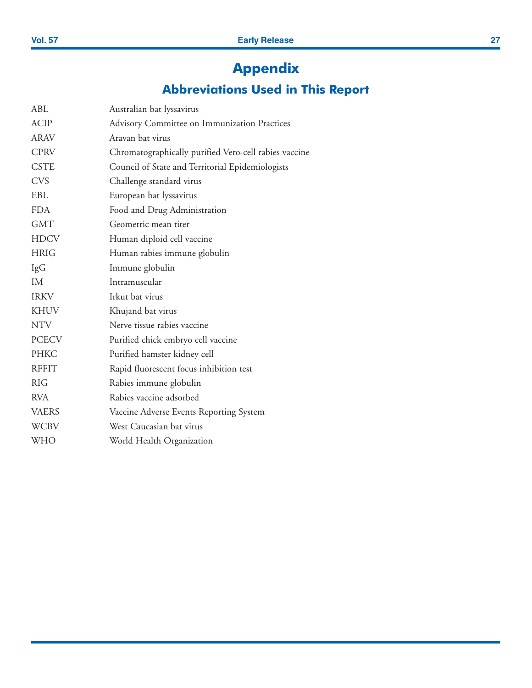# **Appendix**

# **Abbreviations Used in This Report**

<span id="page-28-0"></span>

| ABL          | Australian bat lyssavirus                             |
|--------------|-------------------------------------------------------|
| <b>ACIP</b>  | Advisory Committee on Immunization Practices          |
| ARAV         | Aravan bat virus                                      |
| <b>CPRV</b>  | Chromatographically purified Vero-cell rabies vaccine |
| <b>CSTE</b>  | Council of State and Territorial Epidemiologists      |
| <b>CVS</b>   | Challenge standard virus                              |
| <b>EBL</b>   | European bat lyssavirus                               |
| <b>FDA</b>   | Food and Drug Administration                          |
| <b>GMT</b>   | Geometric mean titer                                  |
| <b>HDCV</b>  | Human diploid cell vaccine                            |
| <b>HRIG</b>  | Human rabies immune globulin                          |
| IgG          | Immune globulin                                       |
| IM           | Intramuscular                                         |
| <b>IRKV</b>  | Irkut bat virus                                       |
| <b>KHUV</b>  | Khujand bat virus                                     |
| <b>NTV</b>   | Nerve tissue rabies vaccine                           |
| <b>PCECV</b> | Purified chick embryo cell vaccine                    |
| <b>PHKC</b>  | Purified hamster kidney cell                          |
| <b>RFFIT</b> | Rapid fluorescent focus inhibition test               |
| <b>RIG</b>   | Rabies immune globulin                                |
| <b>RVA</b>   | Rabies vaccine adsorbed                               |
| <b>VAERS</b> | Vaccine Adverse Events Reporting System               |
| <b>WCBV</b>  | West Caucasian bat virus                              |
| <b>WHO</b>   | World Health Organization                             |
|              |                                                       |